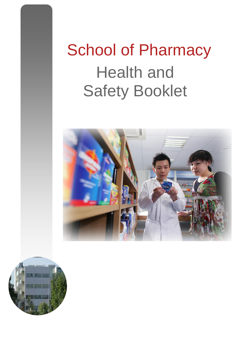# School of Pharmacy Health and Safety Booklet



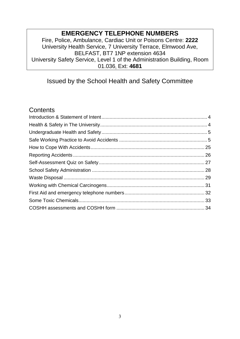# **EMERGENCY TELEPHONE NUMBERS**

Fire, Police, Ambulance, Cardiac Unit or Poisons Centre: **2222** University Health Service, 7 University Terrace, Elmwood Ave, BELFAST, BT7 1NP extension 4634 University Safety Service, Level 1 of the Administration Building, Room 01.036. Ext: **4681** 

# Issued by the School Health and Safety Committee

# **Contents**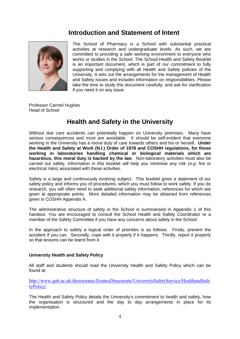# <span id="page-2-0"></span> **Introduction and Statement of Intent**



The School of Pharmacy is a School with substantial practical activities at research and undergraduate levels. As such, we are committed to providing a safe working environment to everyone who works or studies in the School. The School Health and Safety Booklet is an important document, which is part of our commitment to fully supporting and complying with all Health and Safety policies of the University. It sets out the arrangements for the management of Health and Safety issues and includes information on responsibilities. Please take the time to study this document carefully, and ask for clarification if you need it on any issue.

Professor Carmel Hughes Head of School

# **Health and Safety in the University**

<span id="page-2-1"></span>Without due care accidents can potentially happen on University premises. Many have serious consequences and most are avoidable. It should be self-evident that everyone working in the University has a moral duty of care towards others and his or herself**. Under the Health and Safety at Work (N.I.) Order of 1978 and COSHH regulations, for those working in laboratories handling chemical or biological materials which are hazardous, this moral duty is backed by the law**. Non-laboratory activities must also be carried out safely. Information in this booklet will help you minimise any risk (*e.g.* fire or electrical risks) associated with these activities.

Safety is a large and continuously evolving subject. This booklet gives a statement of our safety policy and informs you of procedures, which you must follow to work safely. If you do research, you will often need to seek additional safety information, references for which are given at appropriate points. More detailed information may be obtained from references given in COSHH Appendix A.

The administrative structure of safety in the School is summarised in Appendix 1 of this handout. You are encouraged to consult the School Health and Safety Coordinator or a member of the Safety Committee if you have any concerns about safety in the School.

In the approach to safety a logical order of priorities is as follows. Firstly, prevent the accident if you can. Secondly, cope with it properly if it happens. Thirdly, report it properly so that lessons can be learnt from it.

#### **University Health and Safety Policy**

All staff and students should read the University Health and Safety Policy which can be found at:

[http://www.qub.ac.uk/directorates/EstatesDirectorate/UniversitySafetyService/HealthandSafe](http://www.qub.ac.uk/directorates/EstatesDirectorate/UniversitySafetyService/HealthandSafetyPolicy/) [tyPolicy/](http://www.qub.ac.uk/directorates/EstatesDirectorate/UniversitySafetyService/HealthandSafetyPolicy/)

The Health and Safety Policy details the University's commitment to health and safety, how the organisation is structured and the day to day arrangements in place for its implementation.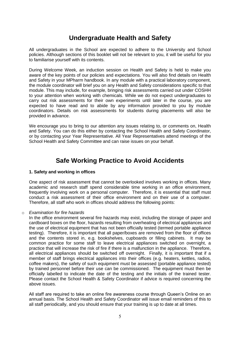# **Undergraduate Health and Safety**

<span id="page-3-0"></span>All undergraduates in the School are expected to adhere to the University and School policies. Although sections of this booklet will not be relevant to you, it will be useful for you to familiarise yourself with its contents.

During Welcome Week, an induction session on Health and Safety is held to make you aware of the key points of our policies and expectations. You will also find details on Health and Safety in your MPharm handbook. In any module with a practical laboratory component, the module coordinator will brief you on any Health and Safety considerations specific to that module. This may include, for example, bringing risk assessments carried out under COSHH to your attention when working with chemicals. While we do not expect undergraduates to carry out risk assessments for their own experiments until later in the course, you are expected to have read and to abide by any information provided to you by module coordinators. Details on risk assessments for students during placements will also be provided in advance.

We encourage you to bring to our attention any issues relating to, or comments on, Health and Safety. You can do this either by contacting the School Health and Safety Coordinator, or by contacting your Year Representative. All Year Representatives attend meetings of the School Health and Safety Committee and can raise issues on your behalf.

# **Safe Working Practice to Avoid Accidents**

#### <span id="page-3-1"></span>**1. Safety and working in offices**

One aspect of risk assessment that cannot be overlooked involves working in offices. Many academic and research staff spend considerable time working in an office environment, frequently involving work on a personal computer. Therefore, it is essential that staff must conduct a risk assessment of their office environment and on their use of a computer. Therefore, all staff who work in offices should address the following points:

#### o *Examination for fire hazards*

In the office environment several fire hazards may exist, including the storage of paper and cardboard boxes on the floor, hazards resulting from overheating of electrical appliances and the use of electrical equipment that has not been officially tested (termed portable appliance testing). Therefore, it is important that all paper/boxes are removed from the floor of offices and the contents stored in, e.g. bookshelves, cupboards or filling cabinets. It may be common practice for some staff to leave electrical appliances switched on overnight, a practice that will increase the risk of fire if there is a malfunction in the appliance. Therefore, all electrical appliances should be switched off overnight. Finally, it is important that if a member of staff brings electrical appliances into their offices (e.g. heaters, kettles, radios, coffee makers), the safety of such equipment must be assessed (portable appliance tested) by trained personnel before their use can be commissioned. The equipment must then be officially labelled to indicate the date of the testing and the initials of the trained tester. Please contact the School Health & Safety Coordinator if advice is required concerning the above issues.

All staff are required to take an online fire awareness course through Queen's Online on an annual basis. The School Health and Safety Coordinator will issue email reminders of this to all staff periodically, and you should ensure that your training is up to date at all times.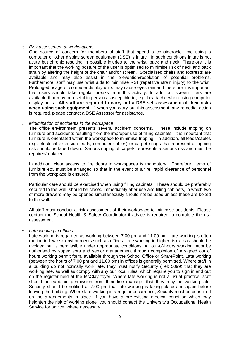#### o *Risk assessment at workstations*

One source of concern for members of staff that spend a considerable time using a computer or other display screen equipment (DSE) is injury. In such conditions injury is not acute but chronic resulting in possible injuries to the wrist, back and neck. Therefore it is important that the working posture of the user is optimised to minimise risk of neck and back strain by altering the height of the chair and/or screen. Specialised chairs and footrests are available and may also assist in the prevention/resolution of potential problems. Furthermore, staff may use wrist aids to minimise RSI (repetitive strain injury) to the wrist. Prolonged usage of computer display units may cause eyestrain and therefore it is important that users should take regular breaks from this activity. In addition, screen filters are available that may be useful in persons susceptible to, e.g. headache when using computer display units. **All staff are required to carry out a DSE self-assessment of their risks when using such equipment.** If, when you carry out this assessment, any remedial action is required, please contact a DSE Assessor for assistance.

#### o *Minimisation of accidents in the workspace*

The office environment presents several accident concerns. These include tripping on furniture and accidents resulting from the improper use of filling cabinets. It is important that furniture is orientated within the workspace to minimise tripping. In addition, all leads/cables (e.g. electrical extension leads, computer cables) or carpet snags that represent a tripping risk should be taped down. Serious ripping of carpets represents a serious risk and must be repaired/replaced.

In addition, clear access to fire doors in workspaces is mandatory. Therefore, items of furniture etc. must be arranged so that in the event of a fire, rapid clearance of personnel from the workplace is ensured.

Particular care should be exercised when using filling cabinets. These should be preferably secured to the wall, should be closed immediately after use and filling cabinets, in which two of more drawers may be opened simultaneously should not be used unless these are bolted to the wall.

All staff must conduct a risk assessment of their workspace to minimise accidents. Please contact the School Health & Safety Coordinator if advice is required to complete the risk assessment.

#### o *Late working in offices*

Late working is regarded as working between 7.00 pm and 11.00 pm. Late working is often routine in low risk environments such as offices. Late working in higher risk areas should be avoided but is permissible under appropriate conditions. All out-of-hours working must be authorised by supervisors and senior management through completion of a signed out of hours working permit form, available through the School Office or SharePoint. Late working (between the hours of 7.00 pm and 11.00 pm) in offices is generally permitted. Where staff in a building do not normally work late, they must notify Security (Tel: 5099) that they are working late, as well as comply with any our local rules, which require you to sign in and out on the register held at the McClay foyer. Where late working is not a usual practice, staff should notify/obtain permission from their line manager that they may be working late. Security should be notified at 7.00 pm that late working is taking place and again before leaving the building. Where late working is a regular occurrence, Security must be consulted on the arrangements in place. If you have a pre-existing medical condition which may heighten the risk of working alone, you should contact the University's Occupational Health Service for advice, where necessary.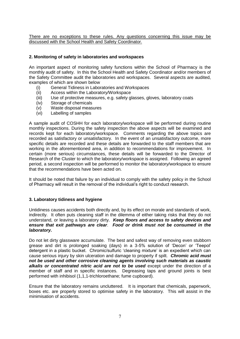There are no exceptions to these rules. Any questions concerning this issue may be discussed with the School Health and Safety Coordinator.

#### **2. Monitoring of safety in laboratories and workspaces**

An important aspect of monitoring safety functions within the School of Pharmacy is the monthly audit of safety. In this the School Health and Safety Coordinator and/or members of the Safety Committee audit the laboratories and workspaces. Several aspects are audited, examples of which are shown below

- (i) General Tidiness in Laboratories and Workspaces
- (ii) Access within the Laboratory/Workspace
- (iii) Use of protective measures, e.g. safety glasses, gloves, laboratory coats
- (iv) Storage of chemicals
- (v) Waste disposal measures
- (vi) Labelling of samples

A sample audit of COSHH for each laboratory/workspace will be performed during routine monthly inspections. During the safety inspection the above aspects will be examined and records kept for each laboratory/workspace. Comments regarding the above topics are recorded as satisfactory or unsatisfactory. In the event of an unsatisfactory outcome, more specific details are recorded and these details are forwarded to the staff members that are working in the aforementioned area, in addition to recommendations for improvement. In certain (more serious) circumstances, these details will be forwarded to the Director of Research of the Cluster to which the laboratory/workspace is assigned. Following an agreed period, a second inspection will be performed to monitor the laboratory/workspace to ensure that the recommendations have been acted on.

It should be noted that failure by an individual to comply with the safety policy in the School of Pharmacy will result in the removal of the individual's right to conduct research.

#### **3. Laboratory tidiness and hygiene**

Untidiness causes accidents both directly and, by its effect on morale and standards of work, indirectly. It often puts cleaning staff in the dilemma of either taking risks that they do not understand, or leaving a laboratory dirty. *Keep floors and access to safety devices and ensure that exit pathways are clear*. *Food or drink must not be consumed in the laboratory.*

Do not let dirty glassware accumulate. The best and safest way of removing even stubborn grease and dirt is prolonged soaking (days) in a 3-5% solution of 'Decon' or 'Teepol' detergent in a plastic bucket. Chromic/sulfuric 'cleaning mixture' is an expedient which can cause serious injury by skin ulceration and damage to property if spilt. *Chromic acid must not be used and other corrosive cleaning agents involving such materials as caustic alkalis or concentrated nitric acid are not to be used* except under the direction of a member of staff and in specific instances. Degreasing taps and ground joints is best performed with inhibisol (1,1,1-trichloroethane; fume cupboard).

Ensure that the laboratory remains uncluttered. It is important that chemicals, paperwork, boxes etc. are properly stored to optimise safety in the laboratory. This will assist in the minimisation of accidents.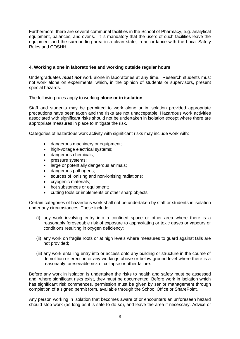Furthermore, there are several communal facilities in the School of Pharmacy, e.g. analytical equipment, balances, and ovens. It is mandatory that the users of such facilities leave the equipment and the surrounding area in a clean state, in accordance with the Local Safety Rules and COSHH.

#### **4. Working alone in laboratories and working outside regular hours**

Undergraduates *must not* work alone in laboratories at any time. Research students must not work alone on experiments, which, in the opinion of students or supervisors, present special hazards.

The following rules apply to working **alone or in isolation**:

Staff and students may be permitted to work alone or in isolation provided appropriate precautions have been taken and the risks are not unacceptable. Hazardous work activities associated with significant risks should not be undertaken in isolation except where there are appropriate measures in place to mitigate the risk.

Categories of hazardous work activity with significant risks may include work with:

- dangerous machinery or equipment;
- high-voltage electrical systems;
- dangerous chemicals;
- pressure systems;
- large or potentially dangerous animals;
- dangerous pathogens;
- sources of ionising and non-ionising radiations;
- cryogenic materials;
- hot substances or equipment;
- cutting tools or implements or other sharp objects.

Certain categories of hazardous work shall not be undertaken by staff or students in isolation under any circumstances. These include:

- (i) any work involving entry into a confined space or other area where there is a reasonably foreseeable risk of exposure to asphyxiating or toxic gases or vapours or conditions resulting in oxygen deficiency;
- (ii) any work on fragile roofs or at high levels where measures to guard against falls are not provided;
- (iii) any work entailing entry into or access onto any building or structure in the course of demolition or erection or any workings above or below ground level where there is a reasonably foreseeable risk of collapse or other failure.

Before any work in isolation is undertaken the risks to health and safety must be assessed and, where significant risks exist, they must be documented. Before work in isolation which has significant risk commences, permission must be given by senior management through completion of a signed permit form, available through the School Office or SharePoint.

Any person working in isolation that becomes aware of or encounters an unforeseen hazard should stop work (as long as it is safe to do so), and leave the area if necessary. Advice or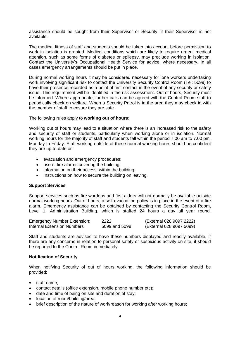assistance should be sought from their Supervisor or Security, if their Supervisor is not available.

The medical fitness of staff and students should be taken into account before permission to work in isolation is granted. Medical conditions which are likely to require urgent medical attention, such as some forms of diabetes or epilepsy, may preclude working in isolation. Contact the University's Occupational Health Service for advice, where necessary. In all cases emergency arrangements should be put in place.

During normal working hours it may be considered necessary for lone workers undertaking work involving significant risk to contact the University Security Control Room (Tel: 5099) to have their presence recorded as a point of first contact in the event of any security or safety issue. This requirement will be identified in the risk assessment. Out of hours, Security must be informed. Where appropriate, further calls can be agreed with the Control Room staff to periodically check on welfare. When a Security Patrol is in the area they may check in with the member of staff to ensure they are safe.

#### The following rules apply to **working out of hours**:

Working out of hours may lead to a situation where there is an increased risk to the safety and security of staff or students, particularly when working alone or in isolation. Normal working hours for the majority of staff and students fall within the period 7.00 am to 7.00 pm, Monday to Friday. Staff working outside of these normal working hours should be confident they are up-to-date on:

- evacuation and emergency procedures;
- use of fire alarms covering the building;
- information on their access within the building;
- Instructions on how to secure the building on leaving.

#### **Support Services**

Support services such as fire wardens and first aiders will not normally be available outside normal working hours. Out of hours, a self-evacuation policy is in place in the event of a fire alarm. Emergency assistance can be obtained by contacting the Security Control Room, Level 1, Administration Building, which is staffed 24 hours a day all year round.

| <b>Emergency Number Extension:</b> | 2222          | (External 028 9097 2222) |
|------------------------------------|---------------|--------------------------|
| Internal Extension Numbers         | 5099 and 5098 | (External 028 9097 5099) |

Staff and students are advised to have these numbers displayed and readily available. If there are any concerns in relation to personal safety or suspicious activity on site, it should be reported to the Control Room immediately.

#### **Notification of Security**

When notifying Security of out of hours working, the following information should be provided:

- staff name:
- contact details (office extension, mobile phone number etc);
- date and time of being on site and duration of stay;
- location of room/building/area;
- brief description of the nature of work/reason for working after working hours;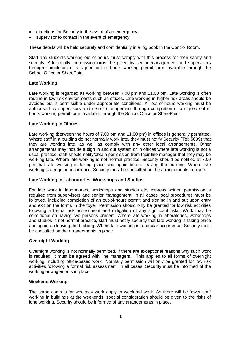- directions for Security in the event of an emergency;
- supervisor to contact in the event of emergency.

These details will be held securely and confidentially in a log book in the Control Room.

Staff and students working out of hours must comply with this process for their safety and security. Additionally, permission **must** be given by senior management and supervisors through completion of a signed out of hours working permit form, available through the School Office or SharePoint.

#### **Late Working**

Late working is regarded as working between 7.00 pm and 11.00 pm. Late working is often routine in low risk environments such as offices. Late working in higher risk areas should be avoided but is permissible under appropriate conditions. All out-of-hours working must be authorised by supervisors and senior management through completion of a signed out of hours working permit form, available through the School Office or SharePoint.

#### **Late Working in Offices**

Late working (between the hours of 7.00 pm and 11.00 pm) in offices is generally permitted. Where staff in a building do not normally work late, they must notify Security (Tel: 5099) that they are working late, as well as comply with any other local arrangements. Other arrangements may include a sign in and out system or in offices where late working is not a usual practice, staff should notify/obtain permission from their line manager that they may be working late. Where late working is not normal practice, Security should be notified at 7.00 pm that late working is taking place and again before leaving the building. Where late working is a regular occurrence, Security must be consulted on the arrangements in place.

#### **Late Working in Laboratories, Workshops and Studios**

For late work in laboratories, workshops and studios etc, express written permission is required from supervisors and senior management. In all cases local procedures must be followed, including completion of an out-of-hours permit and signing in and out upon entry and exit on the forms in the foyer. Permission should only be granted for low risk activities following a formal risk assessment and mitigation of any significant risks. Work may be conditional on having two persons present. Where late working in laboratories, workshops and studios is not normal practice, staff must notify security that late working is taking place and again on leaving the building. Where late working is a regular occurrence, Security must be consulted on the arrangements in place.

#### **Overnight Working**

Overnight working is not normally permitted. If there are exceptional reasons why such work is required, it must be agreed with line managers. This applies to all forms of overnight working, including office-based work. Normally permission will only be granted for low risk activities following a formal risk assessment. In all cases, Security must be informed of the working arrangements in place.

#### **Weekend Working**

The same controls for weekday work apply to weekend work. As there will be fewer staff working in buildings at the weekends, special consideration should be given to the risks of lone working. Security should be informed of any arrangements in place.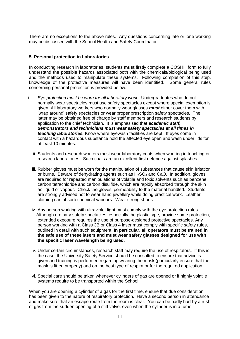There are no exceptions to the above rules. Any questions concerning late or lone working may be discussed with the School Health and Safety Coordinator.

#### **5. Personal protection in Laboratories**

In conducting research in laboratories, students **must** firstly complete a COSHH form to fully understand the possible hazards associated both with the chemicals/biological being used and the methods used to manipulate these systems. Following completion of this step, knowledge of the protective measures will have been identified. Some general rules concerning personal protection is provided below.

- i. *Eye protection must be worn for all laboratory work*. Undergraduates who do not normally wear spectacles must use safety spectacles except where special exemption is given. All laboratory workers who normally wear glasses *must* either cover them with 'wrap around' safety spectacles or wear proper prescription safety spectacles. The latter may be obtained free of charge by staff members and research students by application to the chief technician. It is emphasised that *academic staff, demonstrators and technicians must wear safety spectacles at all times in teaching laboratories.* Know where eyewash facilities are kept. If eyes come in contact with a hazardous substance hold the affected eye open and wash under lids for at least 10 minutes.
	- ii. Students and research workers must wear laboratory coats when working in teaching or research laboratories. Such coats are an excellent first defence against splashes.
	- iii. Rubber gloves must be worn for the manipulation of substances that cause skin irritation or burns. Beware of dehydrating agents such as  $H_2SO_4$  and CaO. In addition, gloves are required for repeated manipulations of volatile and toxic solvents such as benzene, carbon tetrachloride and carbon disulfide, which are rapidly absorbed through the skin as liquid or vapour. Check the gloves' permeability to the material handled. Students are strongly advised not to wear hand jewellery while doing practical work. Leather clothing can absorb chemical vapours. Wear strong shoes.
	- iv. Any person working with ultraviolet light must comply with the eye protection rules. Although ordinary safety spectacles, especially the plastic type, provide some protection, extended exposure requires the use of purpose-designed protective spectacles. Any person working with a Class 3B or Class 4 laser must comply with specific safety rules, outlined in detail with such equipment. **In particular, all operators must be trained in the safe use of these lasers and must wear safety glasses designed for use with the specific laser wavelength being used.**
	- v. Under certain circumstances, research staff may require the use of respirators. If this is the case, the University Safety Service should be consulted to ensure that advice is given and training is performed regarding wearing the mask (particularly ensure that the mask is fitted properly) and on the best type of respirator for the required application.
	- vi. Special care should be taken whenever cylinders of gas are opened or if highly volatile systems require to be transported within the School.

When you are opening a cylinder of a gas for the first time, ensure that due consideration has been given to the nature of respiratory protection. Have a second person in attendance and make sure that an escape route from the room is clear. You can be badly hurt by a rush of gas from the sudden opening of a stiff valve, even when the cylinder is in a fume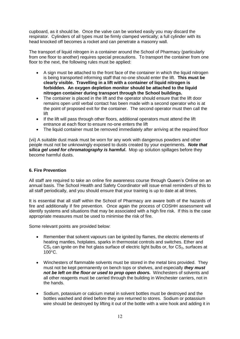cupboard, as it should be. Once the valve can be worked easily you may discard the respirator. Cylinders of all types must be firmly clamped vertically; a full cylinder with its head knocked off becomes a rocket and can penetrate a masonry wall.

The transport of liquid nitrogen in a container around the School of Pharmacy (particularly from one floor to another) requires special precautions. To transport the container from one floor to the next, the following rules must be applied:

- A sign must be attached to the front face of the container in which the liquid nitrogen is being transported informing staff that no-one should enter the lift. **This must be clearly visible. Travelling in a lift with a container of liquid nitrogen is forbidden. An oxygen depletion monitor should be attached to the liquid nitrogen container during transport through the School buildings.**
- The container is placed in the lift and the operator should ensure that the lift door remains open until verbal contact has been made with a second operator who is at the point of proposed exit for the container. The second operator must then call the lift
- If the lift will pass through other floors, additional operators must attend the lift entrance at each floor to ensure no-one enters the lift
- The liquid container must be removed immediately after arriving at the required floor

(vii) A suitable dust mask must be worn for any work with dangerous powders and other people must not be unknowingly exposed to dusts created by your experiments. *Note that silica gel used for chromatography is harmful***.** Mop up solution spillages before they become harmful dusts.

#### **6. Fire Prevention**

All staff are required to take an online fire awareness course through Queen's Online on an annual basis. The School Health and Safety Coordinator will issue email reminders of this to all staff periodically, and you should ensure that your training is up to date at all times.

It is essential that all staff within the School of Pharmacy are aware both of the hazards of fire and additionally if fire prevention. Once again the process of COSHH assessment will identify systems and situations that may be associated with a high fire risk. If this is the case appropriate measures must be used to minimise the risk of fire.

Some relevant points are provided below:

- Remember that solvent vapours can be ignited by flames, the electric elements of heating mantles, hotplates, sparks in thermostat controls and switches. Ether and  $CS<sub>2</sub>$  can ignite on the hot glass surface of electric light bulbs or, for  $CS<sub>2</sub>$ , surfaces at 100°C.
- Winchesters of flammable solvents must be stored in the metal bins provided. They must not be kept permanently on bench tops or shelves, and especially *they must not be left on the floor or used to prop open doors.* Winchesters of solvents and all other reagents must be carried through the building in Winchester carriers, not in the hands.
- Sodium, potassium or calcium metal in solvent bottles must be destroyed and the bottles washed and dried before they are returned to stores. Sodium or potassium wire should be destroyed by lifting it out of the bottle with a wire hook and adding it in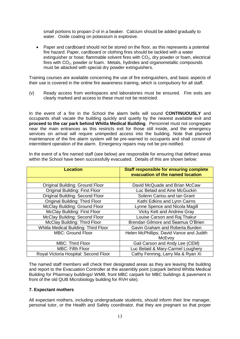small portions to propan-2-ol in a beaker. Calcium should be added gradually to water. Oxide coating on potassium is explosive.

 Paper and cardboard should not be stored on the floor, as this represents a potential fire hazard. Paper, cardboard or clothing fires should be tackled with a water extinguisher or hose; flammable solvent fires with  $CO<sub>2</sub>$ , dry powder or foam, electrical fires with  $CO<sub>2</sub>$ , powder or foam. Metals, hydrides and organometallic compounds must be attacked with special dry powder extinguishers.

Training courses are available concerning the use of fire extinguishers, and basic aspects of their use is covered in the online fire awareness training, which is compulsory for all staff.

(v) Ready access from workspaces and laboratories must be ensured. Fire exits are clearly marked and access to these must not be restricted.

In the event of a fire in the School the alarm bells will sound **CONTINUOUSLY** and occupants shall vacate the building quickly and quietly by the nearest available exit and **proceed to the car park behind Whitla Medical Building**. Personnel must not congregate near the main entrances as this restricts exit for those still inside, and the emergency services on arrival will require unimpeded access into the building. Note that planned maintenance of the fire alarm system will be pre-warned to occupants and shall consist of intermittent operation of the alarm. Emergency repairs may not be pre-notified.

| <b>Location</b>                             | <b>Staff responsible for ensuring complete</b> |  |
|---------------------------------------------|------------------------------------------------|--|
|                                             | evacuation of the named location               |  |
|                                             |                                                |  |
| Original Building: Ground Floor             | David McQuade and Brian McCaw                  |  |
| <b>Original Building: First Floor</b>       | Luc Belaid and Aine McGuckin                   |  |
| Original Building: Second Floor             | Solenn Cariou and Ian Grant                    |  |
| Original Building: Third Floor              | Kathi Edkins and Lynn Cairns                   |  |
| McClay Building: Ground Floor               | Lynne Spence and Nicola Magill                 |  |
| <b>McClay Building: First Floor</b>         | <b>Vicky Kett and Andrew Gray</b>              |  |
| McClay Building: Second Floor               | Louise Carson and Raj Thakur                   |  |
| McClay Building: Third Floor                | Brendan Gilmore and Seamus O'Brien             |  |
| <b>Whitla Medical Building: Third Floor</b> | Gavin Graham and Roberta Burden                |  |
| <b>MBC: Ground Floor</b>                    | Helen McPhillips; David Vance and Judith       |  |
|                                             | McEvoy                                         |  |
| <b>MBC: Third Floor</b>                     | Gail Carson and Andy Lee (CEM)                 |  |
| <b>MBC: Fifth Floor</b>                     | Luc Belaid & Mary-Carmel Loughery              |  |
| Royal Victoria Hospital: Second Floor       | Cathy Fenning, Larry Ma & Ryan Xi              |  |

In the event of a fire named staff (see below) are responsible for ensuring that defined areas within the School have been successfully evacuated. Details of this are shown below:

The named staff members will check their designated areas as they are leaving the building and report to the Evacuation Controller at the assembly point (carpark behind Whitla Medical Building for Pharmacy buildings/ WMB, front MBC carpark for MBC buildings & pavement in front of the old QUB Microbiology building for RVH site).

#### **7. Expectant mothers**

All expectant mothers, including undergraduate students, should inform their line manager, personal tutor, or the Health and Safety coordinator, that they are pregnant so that proper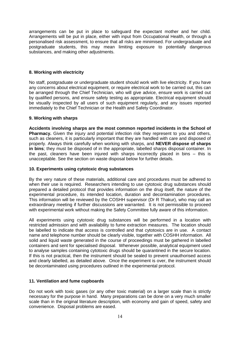arrangements can be put in place to safeguard the expectant mother and her child. Arrangements will be put in place, either with input from Occupational Health, or through a personalised risk assessment, to ensure that all risks are minimised. For undergraduate and postgraduate students, this may mean limiting exposure to potentially dangerous substances, and making other adjustments.

#### **8. Working with electricity**

No staff, postgraduate or undergraduate student should work with live electricity. If you have any concerns about electrical equipment, or require electrical work to be carried out, this can be arranged through the Chief Technician, who will give advice, ensure work is carried out by qualified persons, and ensure safety testing as appropriate. Electrical equipment should be visually inspected by all users of such equipment regularly, and any issues reported immediately to the Chief Technician or the Health and Safety Coordinator.

#### **9. Working with sharps**

**Accidents involving sharps are the most common reported incidents in the School of Pharmacy.** Given the injury and potential infection risk they represent to you and others, such as cleaners, it is particularly important that they are handled with care and disposed of properly. Always think carefully when working with sharps, and **NEVER dispose of sharps in bins**; they must be disposed of in the appropriate, labelled sharps disposal container. In the past, cleaners have been injured with sharps incorrectly placed in bins – this is unacceptable. See the section on waste disposal below for further details.

#### **10. Experiments using cytotoxic drug substances**

By the very nature of these materials, additional care and procedures must be adhered to when their use is required. Researchers intending to use cytotoxic drug substances should prepared a detailed protocol that provides information on the drug itself, the nature of the experimental procedure, its intended location, duration and decontamination procedures. This information will be reviewed by the COSHH supervisor (Dr R Thakur), who may call an extraordinary meeting if further discussions are warranted. It is not permissible to proceed with experimental work without making the Safety Committee fully aware of this information.

All experiments using cytotoxic drug substances will be performed in a location with restricted admission and with availability to fume extraction measures. The location should be labelled to indicate that access is controlled and that cytotoxics are in use. A contact name and telephone number should be clearly visible, together with COSHH information. All solid and liquid waste generated in the course of proceedings must be gathered in labelled containers and sent for specialised disposal. Whenever possible, analytical equipment used to analyse samples containing cytotoxic drugs should be quarantined in the secure location. If this is not practical, then the instrument should be sealed to prevent unauthorised access and clearly labelled, as detailed above. Once the experiment is over, the instrument should be decontaminated using procedures outlined in the experimental protocol.

## **11. Ventilation and fume cupboards**

Do not work with toxic gases (or any other toxic material) on a larger scale than is strictly necessary for the purpose in hand. Many preparations can be done on a very much smaller scale than in the original literature description, with economy and gain of speed, safety and convenience. Disposal problems are eased.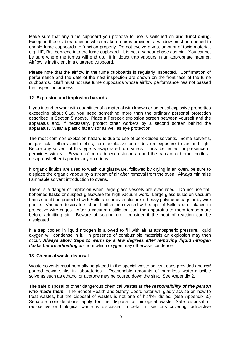Make sure that any fume cupboard you propose to use is switched on **and functioning**. Except in those laboratories in which make-up air is provided, a window must be opened to enable fume cupboards to function properly. Do not evolve a vast amount of toxic material, e.g. HF, Br<sub>2</sub>, benzene into the fume cupboard. It is not a vapour phase dustbin. You cannot be sure where the fumes will end up. If in doubt trap vapours in an appropriate manner. Airflow is inefficient in a cluttered cupboard.

Please note that the airflow in the fume cupboards is regularly inspected. Confirmation of performance and the date of the next inspection are shown on the front face of the fume cupboards. Staff must not use fume cupboards whose airflow performance has not passed the inspection process.

#### **12. Explosion and implosion hazards**

If you intend to work with quantities of a material with known or potential explosive properties exceeding about 0.1g, you need something more than the ordinary personal protection described in Section 5 above. Place a Perspex explosion screen between yourself and the apparatus and, if necessary, protect other workers by a second screen behind the apparatus. Wear a plastic face visor as well as eye protection.

The most common explosion hazard is due to use of peroxidised solvents. Some solvents, in particular ethers and olefins, form explosive peroxides on exposure to air and light. Before any solvent of this type is evaporated to dryness it must be tested for presence of peroxides with KI. Beware of peroxide encrustation around the caps of old ether bottles diisopropyl ether is particularly notorious.

If organic liquids are used to wash out glassware, followed by drying in an oven, be sure to displace the organic vapour by a stream of air after removal from the oven. Always minimise flammable solvent introduction to ovens.

There is a danger of implosion when large glass vessels are evacuated. Do not use flatbottomed flasks or suspect glassware for high vacuum work. Large glass bulbs on vacuum trains should be protected with Sellotape or by enclosure in heavy polythene bags or by wire gauze. Vacuum desiccators should either be covered with strips of Sellotape or placed in protective wire cages. After a vacuum distillation cool the apparatus to room temperature before admitting air. Beware of scaling up - consider if the heat of reaction can be dissipated.

If a trap cooled in liquid nitrogen is allowed to fill with air at atmospheric pressure, liquid oxygen will condense in it. In presence of combustible materials an explosion may then occur. *Always allow traps to warm by a few degrees after removing liquid nitrogen flasks before admitting air* from which oxygen may otherwise condense.

#### **13. Chemical waste disposal**

Waste solvents must normally be placed in the special waste solvent cans provided and *not* poured down sinks in laboratories. Reasonable amounts of harmless water-miscible solvents such as ethanol or acetone may be poured down the sink. See Appendix 2.

The safe disposal of other dangerous chemical wastes *is the responsibility of the person who made them.* The School Health and Safety Coordinator will gladly advise on how to treat wastes, but the disposal of wastes is not one of his/her duties. (See Appendix 3.) Separate considerations apply for the disposal of biological waste. Safe disposal of radioactive or biological waste is discussed in detail in sections covering radioactive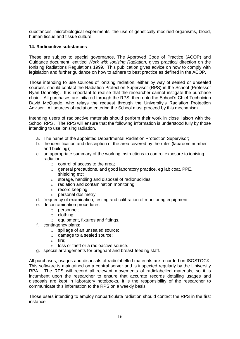substances, microbiological experiments, the use of genetically-modified organisms, blood, human tissue and tissue culture.

#### **14. Radioactive substances**

These are subject to special governance. The Approved Code of Practice (ACOP) and Guidance document, entitled *Work with Ionising Radiation*, gives practical direction on the Ionising Radiations Regulations 1999. This publication gives advice on how to comply with legislation and further guidance on how to adhere to best practice as defined in the ACOP.

Those intending to use sources of ionizing radiation, either by way of sealed or unsealed sources, should contact the Radiation Protection Supervisor (RPS) in the School (Professor Ryan Donnelly). It is important to realise that the researcher cannot instigate the purchase chain. All purchases are initiated through the RPS, then onto the School's Chief Technician David McQuade, who relays the request through the University's Radiation Protection Adviser. All sources of radiation entering the School must proceed by this mechanism.

Intending users of radioactive materials should perform their work in close liaison with the School RPS . The RPS will ensure that the following information is understood fully by those intending to use ionising radiation.

- a. The name of the appointed Departmental Radiation Protection Supervisor;
- b. the identification and description of the area covered by the rules (lab/room number and building);
- c. an appropriate summary of the working instructions to control exposure to ionising radiation:
	- o control of access to the area;
	- o general precautions, and good laboratory practice, eg lab coat, PPE, shielding etc;
	- o storage, handling and disposal of radionuclides;
	- o radiation and contamination monitoring;
	- o record keeping;
	- o personal dosimetry.
- d. frequency of examination, testing and calibration of monitoring equipment.
- e. decontamination procedures:
	- o personnel;
	- o clothing;
	- o equipment, fixtures and fittings.
- f. contingency plans:
	- o spillage of an unsealed source;
	- o damage to a sealed source;
	- o fire;
	- o loss or theft or a radioactive source.
- g. special arrangements for pregnant and breast-feeding staff.

All purchases, usages and disposals of radiolabelled materials are recorded on ISOSTOCK. This software is maintained on a central server and is inspected regularly by the University RPA. The RPS will record all relevant movements of radiolabelled materials, so it is incumbent upon the researcher to ensure that accurate records detailing usages and disposals are kept in laboratory notebooks. It is the responsibility of the researcher to communicate this information to the RPS on a weekly basis.

Those users intending to employ nonparticulate radiation should contact the RPS in the first instance.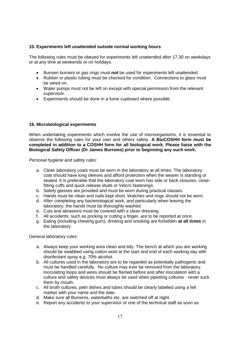#### **15. Experiments left unattended outside normal working hours**

The following rules must be obeyed for experiments left unattended after 17.30 on weekdays or at any time at weekends or on holidays.

- Bunsen burners or gas rings must *not* be used for experiments left unattended.
- Rubber or plastic tubing must be checked for condition. Connections to glass must be wired on.
- Water pumps must not be left on except with special permission from the relevant supervisor.
- Experiments should be done in a fume cupboard where possible.

#### **16. Microbiological experiments**

When undertaking experiments which involve the use of microorganisms, it is essential to observe the following rules for your own and others safety. **A BioCOSHH form must be completed in addition to a COSHH form for all biological work. Please liaise with the Biological Safety Officer (Dr James Burrows) prior to beginning any such work.**

*Personal hygiene and safety rules*:

- a. Clean laboratory coats must be worn in the laboratory at all times. The laboratory coat should have long sleeves and afford protection when the wearer is standing or seated. It is preferable that the laboratory coat worn has side or back closures, closefitting cuffs and quick release studs or Velcro fastenings.
- b. Safety glasses are provided and must be worn during practical classes.
- c. Hands must be clean and nails kept short. Watches and rings should not be worn.
- d. After completing any bacteriological work, and particularly when leaving the laboratory, the hands must be thoroughly washed.
- e. Cuts and abrasions must be covered with a clean dressing.
- f. All accidents, such as pricking or cutting a finger, are to be reported at once.
- g. Eating (including chewing gum), drinking and smoking are forbidden **at all times** in the laboratory.

#### *General laboratory rules*:

- a. Always keep your working area clean and tidy. The bench at which you are working should be swabbed using cotton wool at the start and end of each working day with disinfectant spray e.g. 70% alcohol.
- b. All cultures used in the laboratory are to be regarded as potentially pathogenic and must be handled carefully. No culture may ever be removed from the laboratory. Inoculating loops and wires should be flamed before and after inoculation with a culture and safety devices must always be used when pipetting cultures - never suck them by mouth.
- c. All broth cultures, petri dishes and tubes should be clearly labelled using a felt marker with your name and the date.
- d. Make sure all Bunsens, waterbaths etc. are switched off at night.
- e. Report any accidents to your supervisor or one of the technical staff as soon as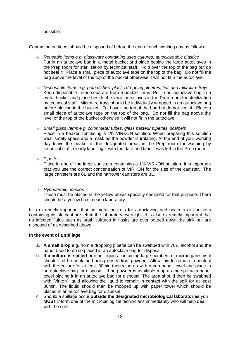possible.

#### Contaminated items should be disposed of before the end of each working day as follows:

- o *Reusable items e.g. glassware containing used cultures, autoclaveable plastics* Put in an autoclave bag in a metal bucket and place beside the large autoclaves in the Prep room for sterilization by technical staff. Fold over the top of the bag but do not seal it. Place a small piece of autoclave tape on the top of the bag. Do not fill the bag above the level of the top of the bucket otherwise it will not fit n the autoclave.
- o *Disposable items e.g. petri dishes, plastic dropping pipettes, tips and microtitre trays* Keep disposable items separate from reusable items. Put in an autoclave bag in a metal bucket and place beside the large autoclaves in the Prep room for sterilization by technical staff. Microtitre trays should be individually wrapped in an autoclave bag before placing in the bucket. Fold over the top of the bag but do not seal it. Place a small piece of autoclave tape on the top of the bag. Do not fill the bag above the level of the top of the bucket otherwise it will not fit in the autoclave.
- o *Small glass items e.g. colorimeter tubes, glass pasteur pipettes, scalpels*  Place in a beaker containing a 1% VIRKON solution. When preparing this solution wear safety specs and a mask as the powder is irritating. At the end of your working day leave the beaker in the designated areas in the Prep room for washing by technical staff, clearly labelling it with the date and time it was left in the Prep room.
- o *Pipettes*

Place in one of the large canisters containing a 1% VIRKON solution. It is important that you use the correct concentration of VIRKON for the size of the canister. The large canisters are 6L and the narrower canisters are 3L.

o *Hypodermic needles* 

These must be placed in the yellow boxes specially designed for that purpose. There should be a yellow box in each laboratory.

It is extremely important that no metal buckets for autoclaving and beakers or canisters containing disinfectant are left in the laboratory overnight. It is also extremely important that no infected fluids such as broth cultures in flasks are ever poured down the sink but are disposed of as described above.

#### **In the event of a spillage**

- a. **A small drop** e.g. from a dropping pipette can be swabbed with 70% alcohol and the paper used to do so placed in an autoclave bag for disposal.
- b. **If a culture is spilled** or other liquids containing large numbers of microorganisms it should first be contained using dry 'Virkon' powder. Allow this to remain in contact with the culture for at least 30min then wipe up with damp paper towel and place in an autoclave bag for disposal. If no powder is available mop up the spill with paper towel placing it in an autoclave bag for disposal. The area should then be swabbed with 'Virkon' liquid allowing the liquid to remain in contact with the spill for at least 30min. The liquid should then be mopped up with paper towel which should be placed in an autoclave bag for disposal.
- c. Should a spillage occur **outside the designated microbiological laboratories** you **MUST** inform one of the microbiological technicians immediately who will help deal with the spill.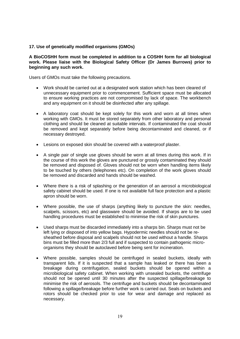#### **17. Use of genetically modified organisms (GMOs)**

#### **A BioCOSHH form must be completed in addition to a COSHH form for all biological work. Please liaise with the Biological Safety Officer (Dr James Burrows) prior to beginning any such work.**

Users of GMOs must take the following precautions.

- Work should be carried out at a designated work station which has been cleared of unnecessary equipment prior to commencement. Sufficient space must be allocated to ensure working practices are not compromised by lack of space. The workbench and any equipment on it should be disinfected after any spillage.
- A laboratory coat should be kept solely for this work and worn at all times when working with GMOs. It must be stored separately from other laboratory and personal clothing and should be cleaned at suitable intervals. If contaminated the coat should be removed and kept separately before being decontaminated and cleaned, or if necessary destroyed.
- Lesions on exposed skin should be covered with a waterproof plaster.
- A single pair of single use gloves should be worn at all times during this work. If in the course of this work the gloves are punctured or grossly contaminated they should be removed and disposed of. Gloves should not be worn when handling items likely to be touched by others (telephones etc). On completion of the work gloves should be removed and discarded and hands should be washed.
- Where there is a risk of splashing or the generation of an aerosol a microbiological safety cabinet should be used. If one is not available full face protection and a plastic apron should be worn.
- Where possible, the use of sharps (anything likely to puncture the skin: needles, scalpels, scissors, etc) and glassware should be avoided. If sharps are to be used handling procedures must be established to minimise the risk of skin punctures.
- Used sharps must be discarded immediately into a sharps bin. Sharps must not be left lying or disposed of into yellow bags. Hypodermic needles should not be resheathed before disposal and scalpels should not be used without a handle. Sharps bins must be filled more than 2/3 full and if suspected to contain pathogenic microorganisms they should be autoclaved before being sent for incineration.
- Where possible, samples should be centrifuged in sealed buckets, ideally with transparent lids. If it is suspected that a sample has leaked or there has been a breakage during centrifugation, sealed buckets should be opened within a microbiological safety cabinet. When working with unsealed buckets, the centrifuge should not be opened until 30 minutes after the suspected spillage/breakage to minimise the risk of aerosols. The centrifuge and buckets should be decontaminated following a spillage/breakage before further work is carried out. Seals on buckets and rotors should be checked prior to use for wear and damage and replaced as necessary.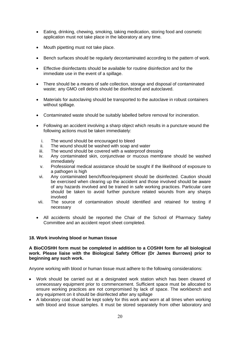- Eating, drinking, chewing, smoking, taking medication, storing food and cosmetic application must not take place in the laboratory at any time.
- Mouth pipetting must not take place.
- Bench surfaces should be regularly decontaminated according to the pattern of work.
- Effective disinfectants should be available for routine disinfection and for the immediate use in the event of a spillage.
- There should be a means of safe collection, storage and disposal of contaminated waste; any GMO cell debris should be disinfected and autoclaved.
- Materials for autoclaving should be transported to the autoclave in robust containers without spillage.
- Contaminated waste should be suitably labelled before removal for incineration.
- Following an accident involving a sharp object which results in a puncture wound the following actions must be taken immediately:
	- i. The wound should be encouraged to bleed
	- ii. The wound should be washed with soap and water
	- iii. The wound should be covered with a waterproof dressing
	- iv. Any contaminated skin, conjunctivae or mucous membrane should be washed immediately
	- v. Professional medical assistance should be sought if the likelihood of exposure to a pathogen is high
	- vi. Any contaminated bench/floor/equipment should be disinfected. Caution should be exercised when clearing up the accident and those involved should be aware of any hazards involved and be trained in safe working practices. Particular care should be taken to avoid further puncture related wounds from any sharps involved
- vii. The source of contamination should identified and retained for testing if necessary
- All accidents should be reported the Chair of the School of Pharmacy Safety Committee and an accident report sheet completed.

#### **18. Work involving blood or human tissue**

#### **A BioCOSHH form must be completed in addition to a COSHH form for all biological work. Please liaise with the Biological Safety Officer (Dr James Burrows) prior to beginning any such work.**

Anyone working with blood or human tissue must adhere to the following considerations:

- Work should be carried out at a designated work station which has been cleared of unnecessary equipment prior to commencement. Sufficient space must be allocated to ensure working practices are not compromised by lack of space. The workbench and any equipment on it should be disinfected after any spillage
- A laboratory coat should be kept solely for this work and worn at all times when working with blood and tissue samples. It must be stored separately from other laboratory and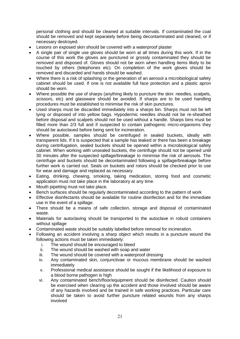personal clothing and should be cleaned at suitable intervals. If contaminated the coat should be removed and kept separately before being decontaminated and cleaned, or if necessary destroyed.

- Lesions on exposed skin should be covered with a waterproof plaster
- A single pair of single use gloves should be worn at all times during this work. If in the course of this work the gloves are punctured or grossly contaminated they should be removed and disposed of. Gloves should not be worn when handling items likely to be touched by others (telephones etc). On completion of the work gloves should be removed and discarded and hands should be washed.
- Where there is a risk of splashing or the generation of an aerosol a microbiological safety cabinet should be used. If one is not available full face protection and a plastic apron should be worn.
- Where possible the use of sharps (anything likely to puncture the skin: needles, scalpels, scissors, etc) and glassware should be avoided. If sharps are to be used handling procedures must be established to minimise the risk of skin punctures.
- Used sharps must be discarded immediately into a sharps bin. Sharps must not be left lying or disposed of into yellow bags. Hypodermic needles should not be re-sheathed before disposal and scalpels should not be used without a handle. Sharps bins must be filled more than 2/3 full and if suspected to contain pathogenic micro-organisms they should be autoclaved before being sent for incineration.
- Where possible, samples should be centrifuged in sealed buckets, ideally with transparent lids. If it is suspected that a sample has leaked or there has been a breakage during centrifugation, sealed buckets should be opened within a microbiological safety cabinet. When working with unsealed buckets, the centrifuge should not be opened until 30 minutes after the suspected spillage/breakage to minimise the risk of aerosols. The centrifuge and buckets should be decontaminated following a spillage/breakage before further work is carried out. Seals on buckets and rotors should be checked prior to use for wear and damage and replaced as necessary.
- Eating, drinking, chewing, smoking, taking medication, storing food and cosmetic application must not take place in the laboratory at any time.
- Mouth pipetting must not take place.
- Bench surfaces should be regularly decontaminated according to the pattern of work
- Effective disinfectants should be available for routine disinfection and for the immediate use in the event of a spillage.
- There should be a means of safe collection, storage and disposal of contaminated waste.
- Materials for autoclaving should be transported to the autoclave in robust containers without spillage
- Contaminated waste should be suitably labelled before removal for incineration.
- Following an accident involving a sharp object which results in a puncture wound the following actions must be taken immediately:
	- i. The wound should be encouraged to bleed
	- ii. The wound should be washed with soap and water
	- iii. The wound should be covered with a waterproof dressing
	- iv. Any contaminated skin, conjunctivae or mucous membrane should be washed immediately
	- v. Professional medical assistance should be sought if the likelihood of exposure to a blood borne pathogen is high
	- vi. Any contaminated bench/floor/equipment should be disinfected. Caution should be exercised when clearing up the accident and those involved should be aware of any hazards involved and be trained in safe working practices. Particular care should be taken to avoid further puncture related wounds from any sharps involved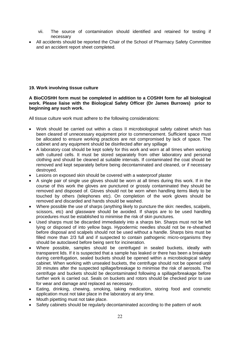- vii. The source of contamination should identified and retained for testing if necessary
- All accidents should be reported the Chair of the School of Pharmacy Safety Committee and an accident report sheet completed.

#### **19. Work involving tissue culture**

**A BioCOSHH form must be completed in addition to a COSHH form for all biological work. Please liaise with the Biological Safety Officer (Dr James Burrows) prior to beginning any such work.**

All tissue culture work must adhere to the following considerations:

- Work should be carried out within a class II microbiological safety cabinet which has been cleared of unnecessary equipment prior to commencement. Sufficient space must be allocated to ensure working practices are not compromised by lack of space. The cabinet and any equipment should be disinfected after any spillage
- A laboratory coat should be kept solely for this work and worn at all times when working with cultured cells. It must be stored separately from other laboratory and personal clothing and should be cleaned at suitable intervals. If contaminated the coat should be removed and kept separately before being decontaminated and cleaned, or if necessary destroyed.
- Lesions on exposed skin should be covered with a waterproof plaster
- A single pair of single use gloves should be worn at all times during this work. If in the course of this work the gloves are punctured or grossly contaminated they should be removed and disposed of. Gloves should not be worn when handling items likely to be touched by others (telephones etc). On completion of the work gloves should be removed and discarded and hands should be washed.
- Where possible the use of sharps (anything likely to puncture the skin: needles, scalpels, scissors, etc) and glassware should be avoided. If sharps are to be used handling procedures must be established to minimise the risk of skin punctures.
- Used sharps must be discarded immediately into a sharps bin. Sharps must not be left lying or disposed of into yellow bags. Hypodermic needles should not be re-sheathed before disposal and scalpels should not be used without a handle. Sharps bins must be filled more than 2/3 full and if suspected to contain pathogenic micro-organisms they should be autoclaved before being sent for incineration.
- Where possible, samples should be centrifuged in sealed buckets, ideally with transparent lids. If it is suspected that a sample has leaked or there has been a breakage during centrifugation, sealed buckets should be opened within a microbiological safety cabinet. When working with unsealed buckets, the centrifuge should not be opened until 30 minutes after the suspected spillage/breakage to minimise the risk of aerosols. The centrifuge and buckets should be decontaminated following a spillage/breakage before further work is carried out. Seals on buckets and rotors should be checked prior to use for wear and damage and replaced as necessary.
- Eating, drinking, chewing, smoking, taking medication, storing food and cosmetic application must not take place in the laboratory at any time.
- Mouth pipetting must not take place.
- Safety cabinets should be regularly decontaminated according to the pattern of work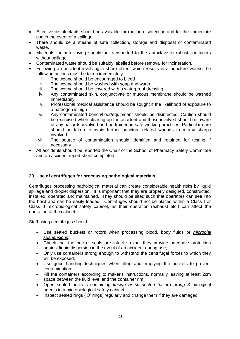- Effective disinfectants should be available for routine disinfection and for the immediate use in the event of a spillage.
- There should be a means of safe collection, storage and disposal of contaminated waste.
- Materials for autoclaving should be transported to the autoclave in robust containers without spillage
- Contaminated waste should be suitably labelled before removal for incineration.
- Following an accident involving a sharp object which results in a puncture wound the following actions must be taken immediately:
	- i. The wound should be encouraged to bleed
	- ii. The wound should be washed with soap and water
	- iii. The wound should be covered with a waterproof dressing
	- iv. Any contaminated skin, conjunctivae or mucous membrane should be washed immediately
	- v. Professional medical assistance should be sought if the likelihood of exposure to a pathogen is high
	- vi. Any contaminated bench/floor/equipment should be disinfected. Caution should be exercised when clearing up the accident and those involved should be aware of any hazards involved and be trained in safe working practices. Particular care should be taken to avoid further puncture related wounds from any sharps involved
	- vii. The source of contamination should identified and retained for testing if necessary
- All accidents should be reported the Chair of the School of Pharmacy Safety Committee and an accident report sheet completed.

#### **20. Use of centrifuges for processing pathological materials**

Centrifuges processing pathological material can create considerable health risks by liquid spillage and droplet dispersion. It is important that they are properly designed, constructed, installed, operated and maintained. They should be sited such that operators can see into the bowl and can be easily loaded. Centrifuges should not be placed within a Class I or Class II microbiological safety cabinet, as their operation (exhaust etc.) can affect the operation of the cabinet.

Staff using centrifuges should:

- Use sealed buckets or rotors when processing blood, body fluids or *microbial suspensions*;
- Check that the bucket seals are intact so that they provide adequate protection against liquid dispersion in the event of an accident during use;
- Only use containers strong enough to withstand the centrifugal forces to which they will be exposed;
- Use good handling techniques when filling and emptying the buckets to prevent contamination;
- Fill the containers according to maker's instructions, normally leaving at least 2cm space between the fluid level and the container rim;
- Open sealed buckets containing *known or suspected hazard group 3* biological agents in a microbiological safety cabinet
- Inspect sealed rings ('O' rings) regularly and change them if they are damaged.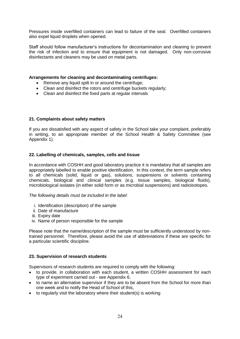Pressures inside overfilled containers can lead to failure of the seal. Overfilled containers also expel liquid droplets when opened.

Staff should follow manufacturer's instructions for decontamination and cleaning to prevent the risk of infection and to ensure that equipment is not damaged. Only non-corrosive disinfectants and cleaners may be used on metal parts.

#### **Arrangements for cleaning and decontaminating centrifuges:**

- Remove any liquid spilt in or around the centrifuge:
- Clean and disinfect the rotors and centrifuge buckets regularly;
- Clean and disinfect the fixed parts at regular intervals

#### **21. Complaints about safety matters**

If you are dissatisfied with any aspect of safety in the School take your complaint, preferably in writing, to an appropriate member of the School Health & Safety Committee (see Appendix 1).

#### **22. Labelling of chemicals, samples, cells and tissue**

In accordance with COSHH and good laboratory practice it is mandatory that all samples are appropriately labelled to enable positive identification. In this context, the term sample refers to all chemicals (solid, liquid or gas), solutions, suspensions or solvents containing chemicals, biological and clinical samples (e.g. tissue samples, biological fluids), microbiological isolates (in either solid form or as microbial suspensions) and radioisotopes.

*The following details must be included in the label:*

- i. Identification (description) of the sample
- ii. Date of manufacture
- iii. Expiry date
- iv. Name of person responsible for the sample

Please note that the name/description of the sample must be sufficiently understood by nontrained personnel. Therefore, please avoid the use of abbreviations if these are specific for a particular scientific discipline.

#### **23. Supervision of research students**

Supervisors of research students are required to comply with the following:

- to provide, in collaboration with each student, a written COSHH assessment for each type of experiment carried out - see Appendix 6.
- to name an alternative supervisor if they are to be absent from the School for more than one week and to notify the Head of School of this,
- to regularly visit the laboratory where their student(s) is working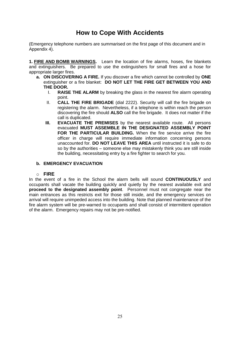# **How to Cope With Accidents**

<span id="page-23-0"></span>(Emergency telephone numbers are summarised on the first page of this document and in Appendix 4).

**1. FIRE AND BOMB WARNINGS.** Learn the location of fire alarms, hoses, fire blankets and extinguishers. Be prepared to use the extinguishers for small fires and a hose for appropriate larger fires.

- **a. ON DISCOVERING A FIRE.** If you discover a fire which cannot be controlled by **ONE** extinguisher or a fire blanket: **DO NOT LET THE FIRE GET BETWEEN YOU AND THE DOOR.**
	- I. **RAISE THE ALARM** by breaking the glass in the nearest fire alarm operating point.
	- II. **CALL THE FIRE BRIGADE** (dial 2222). Security will call the fire brigade on registering the alarm. Nevertheless, if a telephone is within reach the person discovering the fire should **ALSO** call the fire brigade. It does not matter if the call is duplicated.
	- **III. EVACUATE THE PREMISES** by the nearest available route. All persons evacuated **MUST ASSEMBLE IN THE DESIGNATED ASSEMBLY POINT FOR THE PARTICULAR BUILDING.** When the fire service arrive the fire officer in charge will require immediate information concerning persons unaccounted for. **DO NOT LEAVE THIS AREA** until instructed it is safe to do so by the authorities – someone else may mistakenly think you are still inside the building, necessitating entry by a fire fighter to search for you.

#### **b. EMERGENCY EVACUATION**

#### o **FIRE**

In the event of a fire in the School the alarm bells will sound **CONTINUOUSLY** and occupants shall vacate the building quickly and quietly by the nearest available exit and **proceed to the designated assembly point**. Personnel must not congregate near the main entrances as this restricts exit for those still inside, and the emergency services on arrival will require unimpeded access into the building. Note that planned maintenance of the fire alarm system will be pre-warned to occupants and shall consist of intermittent operation of the alarm. Emergency repairs may not be pre-notified.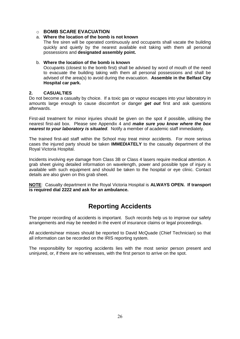#### o **BOMB SCARE EVACUATION**

#### a. **Where the location of the bomb is not known**

The fire siren will be operated continuously and occupants shall vacate the building quickly and quietly by the nearest available exit taking with them all personal possessions and **designated assembly point.**

#### b. **Where the location of the bomb is known**

Occupants (closest to the bomb first) shall be advised by word of mouth of the need to evacuate the building taking with them all personal possessions and shall be advised of the area(s) to avoid during the evacuation. **Assemble in the Belfast City Hospital car park.**

#### **2. CASUALTIES**

Do not become a casualty by choice. If a toxic gas or vapour escapes into your laboratory in amounts large enough to cause discomfort or danger *get out* first and ask questions afterwards.

First-aid treatment for minor injuries should be given on the spot if possible, utilising the nearest first-aid box. Please see Appendix 4 and *make sure you know where the box nearest to your laboratory is situated*. Notify a member of academic staff immediately.

The trained first-aid staff within the School may treat minor accidents. For more serious cases the injured party should be taken **IMMEDIATELY** to the casualty department of the Royal Victoria Hospital.

Incidents involving eye damage from Class 3B or Class 4 lasers require medical attention. A grab sheet giving detailed information on wavelength, power and possible type of injury is available with such equipment and should be taken to the hospital or eye clinic. Contact details are also given on this grab sheet.

**NOTE**: Casualty department in the Royal Victoria Hospital is **ALWAYS OPEN. If transport is required dial 2222 and ask for an ambulance.**

# **Reporting Accidents**

<span id="page-24-0"></span>The proper recording of accidents is important. Such records help us to improve our safety arrangements and may be needed in the event of insurance claims or legal proceedings.

All accidents/near misses should be reported to David McQuade (Chief Technician) so that all information can be recorded on the IRIS reporting system.

The responsibility for reporting accidents lies with the most senior person present and uninjured, or, if there are no witnesses, with the first person to arrive on the spot.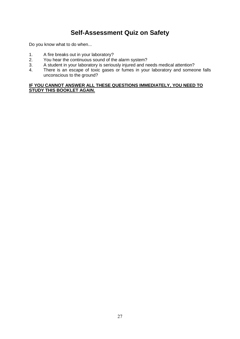# **Self-Assessment Quiz on Safety**

<span id="page-25-0"></span>Do you know what to do when...

- 1. A fire breaks out in your laboratory?<br>2. You hear the continuous sound of th
- 2. You hear the continuous sound of the alarm system?<br>3. A student in your laboratory is seriously injured and no
- A student in your laboratory is seriously injured and needs medical attention?
- 4. There is an escape of toxic gases or fumes in your laboratory and someone falls unconscious to the ground?

#### **IF YOU CANNOT ANSWER ALL THESE QUESTIONS IMMEDIATELY, YOU NEED TO STUDY THIS BOOKLET AGAIN.**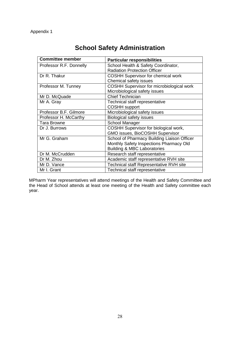<span id="page-26-0"></span>

| <b>Committee member</b> | <b>Particular responsibilities</b>          |
|-------------------------|---------------------------------------------|
| Professor R.F. Donnelly | School Health & Safety Coordinator,         |
|                         | <b>Radiation Protection Officer</b>         |
| Dr R. Thakur            | <b>COSHH Supervisor for chemical work</b>   |
|                         | Chemical safety issues                      |
| Professor M. Tunney     | COSHH Supervisor for microbiological work   |
|                         | Microbiological safety issues               |
| Mr D. McQuade           | <b>Chief Technician</b>                     |
| Mr A. Gray              | Technical staff representative              |
|                         | <b>COSHH</b> support                        |
| Professor B.F. Gilmore  | Microbiological safety issues               |
| Professor H. McCarthy   | <b>Biological safety issues</b>             |
| <b>Tara Browne</b>      | <b>School Manager</b>                       |
| Dr J. Burrows           | COSHH Supervisor for biological work,       |
|                         | GMO issues, BioCOSHH Supervisor             |
| Mr G. Graham            | School of Pharmacy Building Liaison Officer |
|                         | Monthly Safety Inspections Pharmacy Old     |
|                         | <b>Building &amp; MBC Laboratories</b>      |
| Dr M. McCrudden         | Research staff representative               |
| Dr M. Zhou              | Academic staff representative RVH site      |
| Mr D. Vance             | Technical staff Representative RVH site     |
| Mr I. Grant             | Technical staff representative              |

# **School Safety Administration**

MPharm Year representatives will attend meetings of the Health and Safety Committee and the Head of School attends at least one meeting of the Health and Safety committee each year.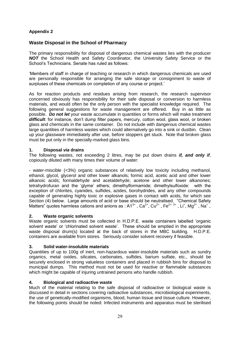## <span id="page-27-0"></span>**Waste Disposal in the School of Pharmacy**

The primary responsibility for disposal of dangerous chemical wastes lies with the producer *NOT* the School Health and Safety Coordinator, the University Safety Service or the School's Technicians. Senate has ruled as follows:

'Members of staff in charge of teaching or research in which dangerous chemicals are used are personally responsible for arranging the safe storage or consignment to waste of surpluses of these chemicals on completion of any course or project.'

As for reaction products and residues arising from research, the research supervisor concerned obviously has responsibility for their safe disposal or conversion to harmless materials, and would often be the only person with the specialist knowledge required. The following general suggestions for waste management are offered. Buy in as little as possible. *Do not let* your waste accumulate in quantities or forms which will make treatment difficult: for instance, don't dump filter papers, mercury, cotton wool, glass wool, or broken glass and chemicals in the same container. Do not include with dangerous chemical wastes large quantities of harmless wastes which could alternatively go into a sink or dustbin. Clean up your glassware immediately after use, before stoppers get stuck. Note that broken glass must be put only in the specially-marked glass bins.

#### **1. Disposal** *via* **drains**

The following wastes, not exceeding 2 litres, may be put down drains *if, and only if*, copiously diluted with many times their volume of water:

- water-miscible (<3%) organic substances of relatively low toxicity including methanol, ethanol, glycol, glycerol and other lower alkanols; formic acid, acetic acid and other lower alkanoic acids; formaldehyde and acetaldehyde; acetone and other lower alkanones; tetrahydrofuran and the 'glyme' ethers; dimethylformamide; dimethylsulfoxide: with the exception of chlorites, cyanides, sulfides, azides, borohydrides, and any other compounds capable of generating highly toxic or explosive gases in contact with acids, for which see Section (4) below. Large amounts of acid or base should be neutralised. "Chemical Safety Matters" quotes harmless cations and anions as :  $A1^{3+}$ ,  $Ca^{2+}$ ,  $Cu^{2+}$ ,  $Fe^{2+,3+}$ , Li<sup>+</sup>, Mg<sup>2+</sup>, Na<sup>+</sup>,

#### **2. Waste organic solvents**

Waste organic solvents must be collected in H.D.P.E. waste containers labelled 'organic solvent waste' or 'chlorinated solvent waste'. These should be emptied in the appropriate waste disposal drum(s) located at the back of stores in the MBC building. H.D.P.E. containers are available from stores. Seriously consider solvent recovery if feasible.

## **3. Solid water-insoluble materials**

Quantities of up to 100g of inert, non-hazardous water-insoluble materials such as sundry organics, metal oxides, silicates, carbonates, sulfides, barium sulfate, etc., should be securely enclosed in strong valueless containers and placed in rubbish bins for disposal to municipal dumps. This method must not be used for reactive or flammable substances which might be capable of injuring untrained persons who handle rubbish.

#### **4. Biological and radioactive waste**

Much of the material relating to the safe disposal of radioactive or biological waste is discussed in detail in sections covering radioactive substances, microbiological experiments, the use of genetically-modified organisms, blood, human tissue and tissue culture. However, the following points should be noted: Infected instruments and apparatus must be sterilised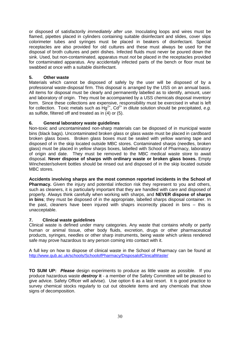or disposed of satisfactorily *immediately after use.* Inoculating loops and wires must be flamed, pipettes placed in cylinders containing suitable disinfectant and slides, cover slips colorimeter tubes and syringes must be placed in beakers of disinfectant. Special receptacles are also provided for old cultures and these must always be used for the disposal of broth cultures and petri dishes. Infected fluids must never be poured down the sink. Used, but non-contaminated, apparatus must *not* be placed in the receptacles provided for contaminated apparatus. Any accidentally infected parts of the bench or floor must be swabbed at once with a suitable disinfectant.

## **5. Other waste**

Materials which cannot be disposed of safely by the user will be disposed of by a professional waste-disposal firm. This disposal is arranged by the USS on an annual basis. All items for disposal must be clearly and permanently labelled as to identify, amount, user and laboratory of origin. They must be accompanied by a USS chemicals disposal inventory form. Since these collections are expensive, responsibility must be exercised in what is left for collection. Toxic metals such as  $Hg^{2+}$ ,  $Cd^{2+}$  in dilute solution should be precipitated, *e.g.* as sulfide, filtered off and treated as in (4) or (5).

## **6. General laboratory waste guidelines**

Non-toxic and uncontaminated non-sharp materials can be disposed of in municipal waste bins (black bags). Uncontaminated broken glass or glass waste must be placed in cardboard broken glass boxes. Broken glass boxes must be sealed with yellow warning tape and disposed of in the skip located outside MBC stores. Contaminated sharps (needles, broken glass) must be placed in yellow sharps boxes, labelled with School of Pharmacy, laboratory of origin and date. They must be removed to the MBC medical waste store to await disposal. **Never dispose of sharps with ordinary waste or broken glass boxes.** Empty Winchester/solvent bottles should be rinsed out and disposed of in the skip located outside MBC stores.

**Accidents involving sharps are the most common reported incidents in the School of Pharmacy.** Given the injury and potential infection risk they represent to you and others, such as cleaners, it is particularly important that they are handled with care and disposed of properly. Always think carefully when working with sharps, and **NEVER dispose of sharps in bins**; they must be disposed of in the appropriate, labelled sharps disposal container. In the past, cleaners have been injured with shaprs incorrectly placed in bins – this is unacceptable.

## **7. Clinical waste guidelines**

Clinical waste is defined under many categories. Any waste that contains wholly or partly human or animal tissue, other body fluids, excretion, drugs or other pharmaceutical products, syringes, needles or other sharp instruments, being waste which unless rendered safe may prove hazardous to any person coming into contact with it.

A full key on how to dispose of clinical waste in the School of Pharmacy can be found at <http://www.qub.ac.uk/schools/SchoolofPharmacy/DisposalofClinicalWaste/>

**TO SUM UP:** *Please* design experiments to produce as little waste as possible. If you produce hazardous waste *destroy* **it** - a member of the Safety Committee will be pleased to give advice. Safety Officer will advise). Use option 6 as a last resort. It is good practice to survey chemical stocks regularly to cut out obsolete items and any chemicals that show signs of decomposition.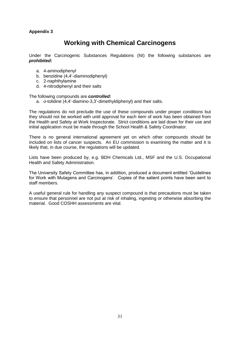# **Working with Chemical Carcinogens**

<span id="page-29-0"></span>Under the Carcinogenic Substances Regulations (NI) the following substances are *prohibited***:**

- a. 4-aminodiphenyl
- b. benzidine (4,4'-diaminodiphenyl)
- c. 2-naphthylamine
- d. 4-nitrodiphenyl and their salts

The following compounds are *controlled***:**

a. *o*-tolidine (4,4'-diamino-3,3'-dimethyldiphenyl) and their salts.

The regulations do not preclude the use of these compounds under proper conditions but they should not be worked with until approval for each item of work has been obtained from the Health and Safety at Work Inspectorate. Strict conditions are laid down for their use and initial application must be made through the School Health & Safety Coordinator.

There is no general international agreement yet on which other compounds should be included on lists of cancer suspects. An EU commission is examining the matter and it is likely that, in due course, the regulations will be updated.

Lists have been produced by, e.g. BDH Chemicals Ltd., MSF and the U.S. Occupational Health and Safety Administration.

The University Safety Committee has, in addition, produced a document entitled 'Guidelines for Work with Mutagens and Carcinogens'. Copies of the salient points have been sent to staff members.

A useful general rule for handling any suspect compound is that precautions must be taken to ensure that personnel are not put at risk of inhaling, ingesting or otherwise absorbing the material. Good COSHH assessments are vital.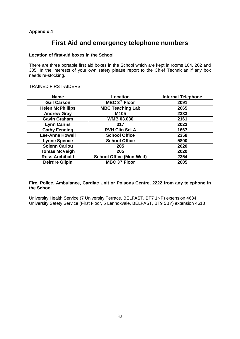# **First Aid and emergency telephone numbers**

#### <span id="page-30-0"></span>**Location of first-aid boxes in the School**

There are three portable first aid boxes in the School which are kept in rooms 104, 202 and 305. In the interests of your own safety please report to the Chief Technician if any box needs re-stocking.

#### TRAINED FIRST-AIDERS

| <b>Name</b>             | Location                       | <b>Internal Telephone</b> |
|-------------------------|--------------------------------|---------------------------|
| <b>Gail Carson</b>      | MBC 3 <sup>rd</sup> Floor      | 2091                      |
| <b>Helen McPhillips</b> | <b>MBC Teaching Lab</b>        | 2665                      |
| <b>Andrew Gray</b>      | M105                           | 2333                      |
| <b>Gavin Graham</b>     | <b>WMB 03.030</b>              | 2161                      |
| <b>Lynn Cairns</b>      | 317                            | 2023                      |
| <b>Cathy Fenning</b>    | <b>RVH Clin Sci A</b>          | 1667                      |
| <b>Lee-Anne Howell</b>  | <b>School Office</b>           | 2358                      |
| <b>Lynne Spence</b>     | <b>School Office</b>           | 5800                      |
| <b>Solenn Cariou</b>    | 205                            | 2020                      |
| <b>Tomas McVeigh</b>    | 205                            | 2020                      |
| <b>Ross Archibald</b>   | <b>School Office (Mon-Wed)</b> | 2354                      |
| <b>Deirdre Gilpin</b>   | MBC 3 <sup>rd</sup> Floor      | 2605                      |

#### **Fire, Police, Ambulance, Cardiac Unit or Poisons Centre, 2222 from any telephone in the School.**

University Health Service (7 University Terrace, BELFAST, BT7 1NP) extension 4634 University Safety Service (First Floor, 5 Lennoxvale, BELFAST, BT9 5BY) extension 4613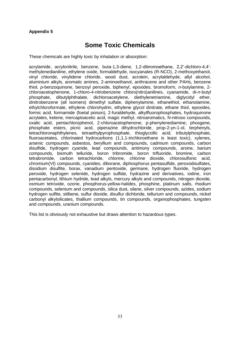# **Some Toxic Chemicals**

<span id="page-31-0"></span>These chemicals are highly toxic by inhalation or absorption:

acrylamide, acrylonitrile, benzene, buta-1,3-diene, 1,2-dibromoethane, 2,2'-dichloro-4,4' methylenedianiline, ethylene oxide, formaldehyde, isocyanates (R-NCO), 2-methoxyethanol, vinyl chloride, vinylidene chloride, wood dust, acrolein, acrylaldehyde, allyl alcohol, aluminium alkyls, aromatic amines, 2-aminoethanol, anthracene and other PAHs, benzene thiol, *p*-benzoquinone, benzoyl peroxide, biphenyl, epoxides, bromoform, *n*-butylamine, 2 chloroacetophenone, 1-chloro-4-nitrobenzene chloro(nitro)anilines, cyanamide, di-*n*-butyl phosphate, dibutylphthalate, dichloroacetylene, diethylenetriamine, diglycidyl ether, dinitrobenzene (all isomers) dimethyl sulfate, diphenylamine, ethanethiol, ethanolamine, ethylchloroformate, ethylene chlorohydrin, ethylene glycol dinitrate, ethane thiol, epoxides, formic acid, formamide (foetal poison), 2-furaldehyde, alkylfluorophosphates, hydroquinone acrylates, ketene, mercaptoacetic acid, magic methyl, nitroaromatics, N-nitroso compounds, oxalic acid, pentachlorophenol, 2-chloroacetophenone, p-phenylenediamine, phosgene, phosphate esters, picric acid, piperazine dihydrochloride, prop-2-yn-1-ol, terphenyls, tetrachloronaphthylenes, tetraethylpyrophosphate, thioglycollic acid, tributylphosphate, fluoroacetates, chlorinated hydrocarbons (1,1,1-trichloroethane is least toxic), xylenes, arsenic compounds, asbestos, beryllium and compounds, cadmium compounds, carbon disulfide, hydrogen cyanide, lead compounds, antimony compounds, arsine, barium compounds, bismuth telluride, boron tribromide, boron trifluoride, bromine, carbon tetrabromide, carbon tetrachloride, chlorine, chlorine dioxide, chlorosulfonic acid, chromium(VI) compounds, cyanides, diborane, diphosphorus pentasulfide, peroxodisulfates, disodium disulfite, borax, vanadium pentoxide, germane, hydrogen fluoride, hydrogen peroxide, hydrogen selenide, hydrogen sulfide, hydrazine and derivatives, iodine, iron pentacarbonyl, lithium hydride, lead alkyls, mercury alkyls and compounds, nitrogen dioxide, osmium tetroxide, ozone, phosphorus-yellow-halides, phosphine, platinum salts, rhodium compounds, selenium and compounds, silica dust, silane, silver compounds, azides, sodium hydrogen sulfite, stilbene, sulfur dioxide, disulfur dichloride, tellurium and compounds, nickel carbonyl alkylsilicates, thallium compounds, tin compounds, organophosphates, tungsten and compounds, uranium compounds.

This list is obviously not exhaustive but draws attention to hazardous types.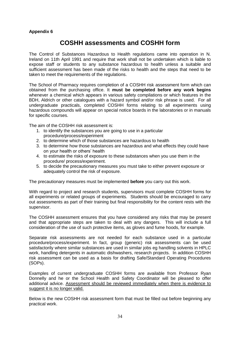# **COSHH assessments and COSHH form**

<span id="page-32-0"></span>The Control of Substances Hazardous to Health regulations came into operation in N. Ireland on 11th April 1991 and require that work shall not be undertaken which is liable to expose staff or students to any substance hazardous to health unless a suitable and sufficient assessment has been made of the risks to health and the steps that need to be taken to meet the requirements of the regulations.

The School of Pharmacy requires completion of a COSHH risk assessment form which can obtained from the purchasing office. It **must be completed before any work begins** whenever a chemical which appears in various safety compilations or which features in the BDH, Aldrich or other catalogues with a hazard symbol and/or risk phrase is used. For all undergraduate practicals, completed COSHH forms relating to all experiments using hazardous compounds will appear on special notice boards in the laboratories or in manuals for specific courses.

The aim of the COSHH risk assessment is:

- 1. to identify the substances you are going to use in a particular procedure/process/experiment
- 2. to determine which of those substances are hazardous to health
- 3. to determine how those substances are hazardous and what effects they could have on your health or others' health
- 4. to estimate the risks of exposure to these substances when you use them in the procedure/ process/experiment.
- 5. to decide the precautionary measures you must take to either prevent exposure or adequately control the risk of exposure.

The precautionary measures must be implemented **before** you carry out this work.

With regard to project and research students, supervisors must complete COSHH forms for all experiments or related groups of experiments. Students should be encouraged to carry out assessments as part of their training but final responsibility for the content rests with the supervisor.

The COSHH assessment ensures that you have considered any risks that may be present and that appropriate steps are taken to deal with any dangers. This will include a full consideration of the use of such protective items, as gloves and fume hoods, for example.

Separate risk assessments are not needed for each substance used in a particular procedure/process/experiment. In fact, group (generic) risk assessments can be used satisfactorily where similar substances are used in similar jobs eg handling solvents in HPLC work, handling detergents in automatic dishwashers, research projects. In addition COSHH risk assessment can be used as a basis for drafting Safe/Standard Operating Procedures (SOPs).

Examples of current undergraduate COSHH forms are available from Professor Ryan Donnelly and he or the School Health and Safety Coordinator will be pleased to offer additional advice. Assessment should be reviewed immediately when there is evidence to suggest it is no longer valid.

Below is the new COSHH risk assessment form that must be filled out before beginning any practical work.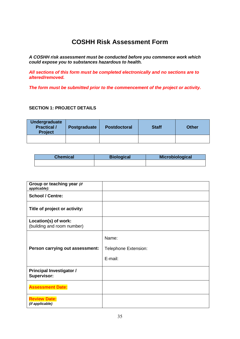# **COSHH Risk Assessment Form**

*A COSHH risk assessment must be conducted before you commence work which could expose you to substances hazardous to health.* 

*All sections of this form must be completed electronically and no sections are to altered/removed.*

*The form must be submitted prior to the commencement of the project or activity.*

#### **SECTION 1: PROJECT DETAILS**

| <b>Undergraduate</b><br><b>Practical /</b><br><b>Project</b> | <b>Postgraduate</b> | <b>Postdoctoral</b> | <b>Staff</b> | <b>Other</b> |
|--------------------------------------------------------------|---------------------|---------------------|--------------|--------------|
|                                                              |                     |                     |              |              |

| Chemical | <b>Biological</b> | Microbiological |
|----------|-------------------|-----------------|
|          |                   |                 |

| Group or teaching year (if<br>applicable):            |                      |
|-------------------------------------------------------|----------------------|
| <b>School / Centre:</b>                               |                      |
| Title of project or activity:                         |                      |
| Location(s) of work:<br>(building and room number)    |                      |
|                                                       | Name:                |
| Person carrying out assessment:                       | Telephone Extension: |
|                                                       | E-mail:              |
| <b>Principal Investigator /</b><br><b>Supervisor:</b> |                      |
| <b>Assessment Date:</b>                               |                      |
| <b>Review Date:</b><br>(if applicable)                |                      |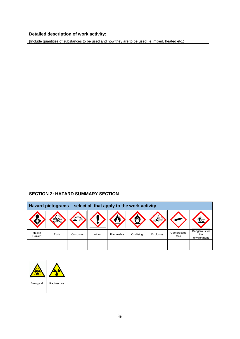# **Detailed description of work activity:**

(Include quantities of substances to be used and how they are to be used i.e. mixed, heated etc.)

## **SECTION 2: HAZARD SUMMARY SECTION**

| Hazard pictograms – select all that apply to the work activity |       |           |          |           |           |           |                   |                                     |
|----------------------------------------------------------------|-------|-----------|----------|-----------|-----------|-----------|-------------------|-------------------------------------|
|                                                                |       |           |          |           |           |           |                   |                                     |
| Health<br>Hazard                                               | Toxic | Corrosive | Irritant | Flammable | Oxidising | Explosive | Compressed<br>Gas | Dangerous for<br>the<br>environment |
|                                                                |       |           |          |           |           |           |                   |                                     |

| Biological | Radioactive |
|------------|-------------|
|            |             |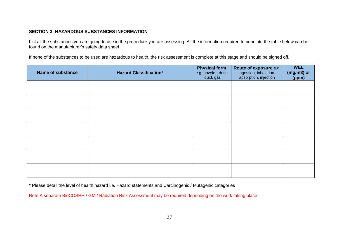## **SECTION 3: HAZARDOUS SUBSTANCES INFORMATION**

List all the substances you are going to use in the procedure you are assessing. All the information required to populate the table below can be found on the manufacturer's safety data sheet.

If none of the substances to be used are hazardous to health, the risk assessment is complete at this stage and should be signed off.

| <b>Name of substance</b> | <b>Hazard Classification*</b> | <b>Physical form</b><br>e.g. powder, dust,<br>liquid, gas | Route of exposure e.g.<br>ingestion, inhalation,<br>absorption, injection | <b>WEL</b><br>(mg/m3) or<br>(ppm) |
|--------------------------|-------------------------------|-----------------------------------------------------------|---------------------------------------------------------------------------|-----------------------------------|
|                          |                               |                                                           |                                                                           |                                   |
|                          |                               |                                                           |                                                                           |                                   |
|                          |                               |                                                           |                                                                           |                                   |
|                          |                               |                                                           |                                                                           |                                   |
|                          |                               |                                                           |                                                                           |                                   |
|                          |                               |                                                           |                                                                           |                                   |
|                          |                               |                                                           |                                                                           |                                   |

\* Please detail the level of health hazard i.e. Hazard statements and Carcinogenic / Mutagenic categories

Note A separate BioCOSHH / GM / Radiation Risk Assessment may be required depending on the work taking place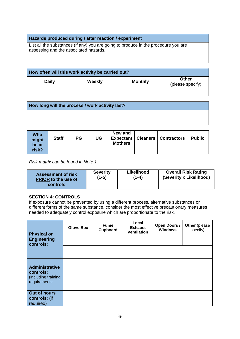#### **Hazards produced during / after reaction / experiment**

List all the substances (if any) you are going to produce in the procedure you are assessing and the associated hazards.

| How often will this work activity be carried out? |        |                |                                  |  |
|---------------------------------------------------|--------|----------------|----------------------------------|--|
| <b>Daily</b>                                      | Weekly | <b>Monthly</b> | <b>Other</b><br>(please specify) |  |
|                                                   |        |                |                                  |  |

| How long will the process / work activity last? |  |  |  |  |
|-------------------------------------------------|--|--|--|--|
|                                                 |  |  |  |  |
|                                                 |  |  |  |  |

| Who<br>might<br>be at | <b>Staff</b> | PG | UG | New and<br><b>Mothers</b> | <b>Expectant   Cleaners   Contractors</b> | <b>Public</b> |
|-----------------------|--------------|----|----|---------------------------|-------------------------------------------|---------------|
| risk?                 |              |    |    |                           |                                           |               |

*Risk matrix can be found in Note 1.*

| <b>Assessment of risk</b>  | <b>Severity</b> | Likelihood | <b>Overall Risk Rating</b> |
|----------------------------|-----------------|------------|----------------------------|
| <b>PRIOR to the use of</b> | (1-5)           | '1-4)      | (Severity x Likelihood)    |
| controls                   |                 |            |                            |

#### **SECTION 4: CONTROLS**

If exposure cannot be prevented by using a different process, alternative substances or different forms of the same substance, consider the most effective precautionary measures needed to adequately control exposure which are proportionate to the risk.

| <b>Physical or</b>                                                        | <b>Glove Box</b> | <b>Fume</b><br>Cupboard | Local<br><b>Exhaust</b><br><b>Ventilation</b> | Open Doors /<br><b>Windows</b> | Other (please<br>specify) |
|---------------------------------------------------------------------------|------------------|-------------------------|-----------------------------------------------|--------------------------------|---------------------------|
| <b>Engineering</b><br>controls:                                           |                  |                         |                                               |                                |                           |
|                                                                           |                  |                         |                                               |                                |                           |
| <b>Administrative</b><br>controls:<br>(including training<br>requirements |                  |                         |                                               |                                |                           |
| Out of hours<br>controls: (if<br>required)                                |                  |                         |                                               |                                |                           |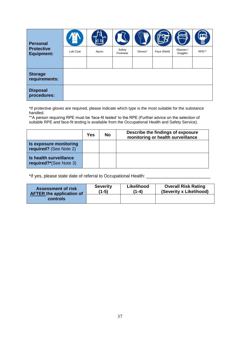| <b>Personal</b><br><b>Protective</b><br><b>Equipment:</b> | Lab Coat | Apron | Safety<br>Footwear | Gloves* | Face Shield | Glasses /<br>Goggles | 48<br>RPE** |
|-----------------------------------------------------------|----------|-------|--------------------|---------|-------------|----------------------|-------------|
|                                                           |          |       |                    |         |             |                      |             |
| <b>Storage</b><br>requirements:                           |          |       |                    |         |             |                      |             |
| <b>Disposal</b><br>procedures:                            |          |       |                    |         |             |                      |             |

\*If protective gloves are required, please indicate which type is the most suitable for the substance handled.

\*\*A person requiring RPE must be 'face-fit tested' to the RPE (Further advice on the selection of suitable RPE and face-fit testing is available from the Occupational Health and Safety Service).

|                                                  | Yes | <b>No</b> | Describe the findings of exposure<br>monitoring or health surveillance |
|--------------------------------------------------|-----|-----------|------------------------------------------------------------------------|
| Is exposure monitoring<br>required? (See Note 2) |     |           |                                                                        |
| Is health surveillance<br>required?*(See Note 3) |     |           |                                                                        |

\*If yes, please state date of referral to Occupational Health: \_\_\_\_\_\_\_\_\_\_\_\_\_\_\_\_\_

| <b>Assessment of risk</b>       | <b>Severity</b> | Likelihood | <b>Overall Risk Rating</b> |
|---------------------------------|-----------------|------------|----------------------------|
| <b>AFTER the application of</b> | (1-5)           | (1-4)      | (Severity x Likelihood)    |
| controls                        |                 |            |                            |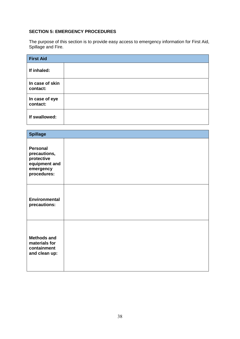## **SECTION 5: EMERGENCY PROCEDURES**

The purpose of this section is to provide easy access to emergency information for First Aid, Spillage and Fire.

| <b>First Aid</b>            |  |  |  |  |
|-----------------------------|--|--|--|--|
| If inhaled:                 |  |  |  |  |
| In case of skin<br>contact: |  |  |  |  |
| In case of eye<br>contact:  |  |  |  |  |
| If swallowed:               |  |  |  |  |

| <b>Spillage</b>                                                                            |  |
|--------------------------------------------------------------------------------------------|--|
| <b>Personal</b><br>precautions,<br>protective<br>equipment and<br>emergency<br>procedures: |  |
| <b>Environmental</b><br>precautions:                                                       |  |
| <b>Methods and</b><br>materials for<br>containment<br>and clean up:                        |  |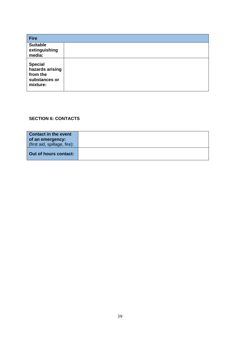| <b>Fire</b>                                                                |  |
|----------------------------------------------------------------------------|--|
| <b>Suitable</b><br>extinguishing<br>media:                                 |  |
| <b>Special</b><br>hazards arising<br>from the<br>substances or<br>mixture: |  |

# **SECTION 6: CONTACTS**

| <b>Contact in the event</b>  |  |
|------------------------------|--|
| of an emergency:             |  |
| (first aid, spillage, fire): |  |
| Out of hours contact:        |  |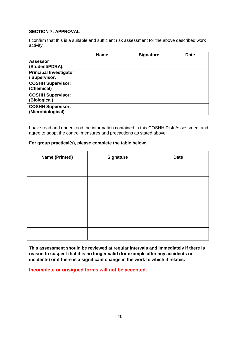## **SECTION 7: APPROVAL**

I confirm that this is a suitable and sufficient risk assessment for the above described work activity

|                                                | <b>Name</b> | <b>Signature</b> | <b>Date</b> |
|------------------------------------------------|-------------|------------------|-------------|
| <b>Assessor</b><br>(Student/PDRA):             |             |                  |             |
| <b>Principal Investigator</b><br>/ Supervisor: |             |                  |             |
| <b>COSHH Supervisor:</b><br>(Chemical)         |             |                  |             |
| <b>COSHH Supervisor:</b><br>(Biological)       |             |                  |             |
| <b>COSHH Supervisor:</b><br>(Microbiological)  |             |                  |             |

I have read and understood the information contained in this COSHH Risk Assessment and I agree to adopt the control measures and precautions as stated above:

#### **For group practical(s), please complete the table below:**

| <b>Name (Printed)</b> | <b>Signature</b> | <b>Date</b> |
|-----------------------|------------------|-------------|
|                       |                  |             |
|                       |                  |             |
|                       |                  |             |
|                       |                  |             |
|                       |                  |             |
|                       |                  |             |

**This assessment should be reviewed at regular intervals and immediately if there is reason to suspect that it is no longer valid (for example after any accidents or incidents) or if there is a significant change in the work to which it relates.**

**Incomplete or unsigned forms will not be accepted.**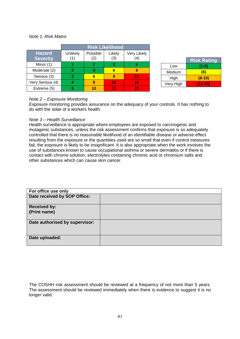#### *Note 1: Risk Matrix*

|                                  | <b>Risk Likelihood</b> |                 |               |                    |
|----------------------------------|------------------------|-----------------|---------------|--------------------|
| <b>Hazard</b><br><b>Severity</b> | Unlikely<br>1)         | Possible<br>(2) | Likely<br>(3) | Very Likely<br>(4) |
| Minor (1)                        |                        | 2               | з             |                    |
| Moderate (2)                     | 2                      |                 |               |                    |
| Serious (3)                      | З                      |                 |               | 12                 |
| Very Serious (4)                 |                        | ጸ               | 12            | 16                 |
| Extreme (5)                      |                        | 10              | 15            | 20                 |

|           | <b>Risk Rating</b> |
|-----------|--------------------|
| Low       | $(1-5)$            |
| Medium    | (6)                |
| High      | $(8-10)$           |
| Very High | $(12-20)$          |

#### *Note 2 – Exposure Monitoring*

Exposure monitoring provides assurance on the adequacy of your controls. It has nothing to do with the state of a workers health.

#### *Note 3 – Health Surveillance*

Health surveillance is appropriate where employees are exposed to carcinogenic and mutagenic substances, unless the risk assessment confirms that exposure is so adequately controlled that there is no reasonable likelihood of an identifiable disease or adverse effect resulting from the exposure or the quantities used are so small that even if control measures fail, the exposure is likely to be insignificant. It is also appropriate when the work involves the use of substances known to cause occupational asthma or severe dermatitis or if there is contact with chrome solution, electrolytes containing chromic acid or chromium salts and other substances which can cause skin cancer.

| For office use only            |  |
|--------------------------------|--|
| Date received by SOP Office:   |  |
| <b>Received by:</b>            |  |
| (Print name)                   |  |
|                                |  |
| Date authorised by supervisor: |  |
|                                |  |
|                                |  |
| Date uploaded:                 |  |
|                                |  |

The COSHH risk assessment should be reviewed at a frequency of not more than 5 years. The assessment should be reviewed immediately when there is evidence to suggest it is no longer valid.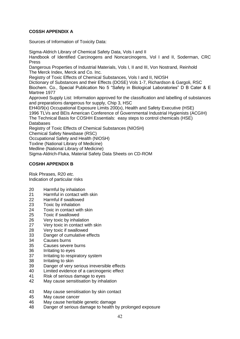## **COSSH APPENDIX A**

Sources of Information of Toxicity Data:

Sigma-Aldrich Library of Chemical Safety Data, Vols I and II Handbook of Identified Carcinogens and Noncarcinogens, Vol I and II, Soderman, CRC

Press Dangerous Properties of Industrial Materials, Vols I, II and III, Von Nostrand, Reinhold The Merck Index, Merck and Co. Inc.

Registry of Toxic Effects of Chemical Substances, Vols I and II, NIOSH

Dictionary of Substances and their Effects (DOSE) Vols 1-7, Richardson & Gargoli, RSC Biochem. Co., Special Publication No 5 "Safety in Biological Laboratories" D B Cater & E Martree 1977

Approved Supply List: Information approved for the classification and labelling of substances and preparations dangerous for supply, Chip 3, HSC

EH40/9(x) Occupational Exposure Limits 200(x), Health and Safety Executive (HSE) 1996 TLVs and BEIs American Conference of Governmental Industrial Hygienists (ACGIH) The Technical Basis for COSHH Essentials: easy steps to control chemicals (HSE) Databases

Registry of Toxic Effects of Chemical Substances (NIOSH)

Chemical Safety Newsbase (RSC)

Occupational Safety and Health (NIOSH)

Toxline (National Library of Medicine)

Medline (National Library of Medicine)

Sigma-Aldrich-Fluka, Material Safety Data Sheets on CD-ROM

## **COSHH APPENDIX B**

Risk Phrases, R20 *etc.* Indication of particular risks

- 20 Harmful by inhalation
- 21 Harmful in contact with skin
- 22 Harmful if swallowed
- 23 Toxic by inhalation<br>24 Toxic in contact wit
- Toxic in contact with skin
- 25 Toxic if swallowed
- 26 Very toxic by inhalation
- 27 Very toxic in contact with skin
- 28 Very toxic if swallowed
- 33 Danger of cumulative effects
- 34 Causes burns
- 35 Causes severe burns
- 36 Irritating to eyes
- 37 Irritating to respiratory system
- 38 Irritating to skin
- 39 Danger of very serious irreversible effects
- 40 Limited evidence of a carcinogenic effect
- 41 Risk of serious damage to eyes
- 42 May cause sensitisation by inhalation
- 43 May cause sensitisation by skin contact
- 45 May cause cancer
- 46 May cause heritable genetic damage
- 48 Danger of serious damage to health by prolonged exposure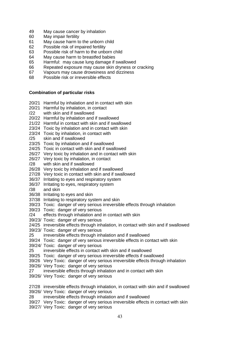- 49 May cause cancer by inhalation
- 60 May impair fertility
- 61 May cause harm to the unborn child
- 62 Possible risk of impaired fertility
- 63 Possible risk of harm to the unborn child
- 64 May cause harm to breastfed babies
- 65 Harmful: may cause lung damage if swallowed
- 66 Repeated exposure may cause skin dryness or cracking
- 67 Vapours may cause drowsiness and dizziness
- 68 Possible risk or irreversible effects

#### **Combination of particular risks**

- 20/21 Harmful by inhalation and in contact with skin
- 20/21 Harmful by inhalation, in contact
- /22 with skin and if swallowed
- 20/22 Harmful by inhalation and if swallowed
- 21/22 Harmful in contact with skin and if swallowed
- 23/24 Toxic by inhalation and in contact with skin
- 23/24 Toxic by inhalation, in contact with
- /25 skin and if swallowed
- 23/25 Toxic by inhalation and if swallowed
- 24/25 Toxic in contact with skin and if swallowed
- 26/27 Very toxic by inhalation and in contact with skin
- 26/27 Very toxic by inhalation, in contact
- /28 with skin and if swallowed
- 26/28 Very toxic by inhalation and if swallowed
- 27/28 Very toxic in contact with skin and if swallowed
- 36/37 Irritating to eyes and respiratory system
- 36/37 Irritating to eyes, respiratory system
- /38 and skin
- 36/38 Irritating to eyes and skin
- 37/38 Irritating to respiratory system and skin
- 39/23 Toxic: danger of very serious irreversible effects through inhalation
- 39/23 Toxic: danger of very serious
- /24 effects through inhalation and in contact with skin
- 39/23/ Toxic: danger of very serious
- 24/25 irreversible effects through inhalation, in contact with skin and if swallowed
- 39/23/ Toxic: danger of very serious
- 25 irreversible effects through inhalation and if swallowed
- 39/24 Toxic: danger of very serious irreversible effects in contact with skin
- 39/24/ Toxic: danger of very serious
- 25 irreversible effects in contact with skin and if swallowed
- 39/25 Toxic: danger of very serious irreversible effects if swallowed
- 39/26 Very Toxic: danger of very serious irreversible effects through inhalation
- 39/26/ Very Toxic: danger of very serious
- 27 irreversible effects through inhalation and in contact with skin
- 39/26/ Very Toxic: danger of very serious
- 27/28 irreversible effects through inhalation, in contact with skin and if swallowed 39/26/ Very Toxic: danger of very serious
- 28 irreversible effects through inhalation and if swallowed
- 39/27 Very Toxic: danger of very serious irreversible effects in contact with skin
- 39/27/ Very Toxic: danger of very serious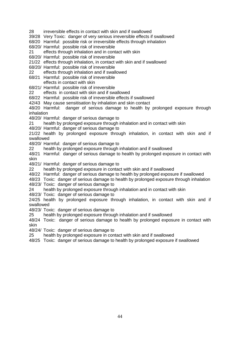- 28 irreversible effects in contact with skin and if swallowed
- 39/28 Very Toxic: danger of very serious irreversible effects if swallowed
- 68/20 Harmful: possible risk or irreversible effects through inhalation
- 68/20/ Harmful: possible risk of irreversible
- 21 effects through inhalation and in contact with skin
- 68/20/ Harmful: possible risk of irreversible
- 21/22 effects through inhalation, in contact with skin and if swallowed
- 68/20/ Harmful: possible risk of irreversible
- 22 effects through inhalation and if swallowed
- 68/21 Harmful: possible risk of irreversible
- effects in contact with skin
- 68/21/ Harmful: possible risk of irreversible
- 22 effects in contact with skin and if swallowed

68/22 Harmful: possible risk of irreversible effects if swallowed

- 42/43 May cause sensitisation by inhalation and skin contact
- 48/20 Harmful: danger of serious damage to health by prolonged exposure through inhalation
- 48/20/ Harmful: danger of serious damage to
- 21 health by prolonged exposure through inhalation and in contact with skin
- 48/20/ Harmful: danger of serious damage to
- 21/22 health by prolonged exposure through inhalation, in contact with skin and if swallowed
- 48/20/ Harmful: danger of serious damage to
- 22 health by prolonged exposure through inhalation and if swallowed
- 48/21 Harmful: danger of serious damage to health by prolonged exposure in contact with skin
- 48/21/ Harmful: danger of serious damage to
- 22 health by prolonged exposure in contact with skin and if swallowed
- 48/22 Harmful: danger of serious damage to health by prolonged exposure if swallowed
- 48/23 Toxic: danger of serious damage to health by prolonged exposure through inhalation
- 48/23/ Toxic: danger of serious damage to
- 24 health by prolonged exposure through inhalation and in contact with skin
- 48/23/ Toxic: danger of serious damage to
- 24/25 health by prolonged exposure through inhalation, in contact with skin and if swallowed
- 48/23/ Toxic: danger of serious damage to
- 25 health by prolonged exposure through inhalation and if swallowed
- 48/24 Toxic: danger of serious damage to health by prolonged exposure in contact with skin
- 48/24/ Toxic: danger of serious damage to
- 25 health by prolonged exposure in contact with skin and if swallowed
- 48/25 Toxic: danger of serious damage to health by prolonged exposure if swallowed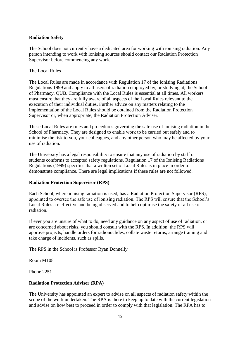## **Radiation Safety**

The School does not currently have a dedicated area for working with ionising radiation. Any person intending to work with ionising sources should contact our Radiation Protection Supervisor before commencing any work.

#### The Local Rules

The Local Rules are made in accordance with Regulation 17 of the Ionising Radiations Regulations 1999 and apply to all users of radiation employed by, or studying at, the School of Pharmacy, QUB. Compliance with the Local Rules is essential at all times. All workers must ensure that they are fully aware of all aspects of the Local Rules relevant to the execution of their individual duties. Further advice on any matters relating to the implementation of the Local Rules should be obtained from the Radiation Protection Supervisor or, when appropriate, the Radiation Protection Adviser.

These Local Rules are rules and procedures governing the safe use of ionising radiation in the School of Pharmacy. They are designed to enable work to be carried out safely and to minimise the risk to you, your colleagues, and any other person who may be affected by your use of radiation.

The University has a legal responsibility to ensure that any use of radiation by staff or students conforms to accepted safety regulations. Regulation 17 of the Ionising Radiations Regulations (1999) specifies that a written set of Local Rules is in place in order to demonstrate compliance. There are legal implications if these rules are not followed.

#### **Radiation Protection Supervisor (RPS)**

Each School, where ionising radiation is used, has a Radiation Protection Supervisor (RPS), appointed to oversee the safe use of ionising radiation. The RPS will ensure that the School's Local Rules are effective and being observed and to help optimise the safety of all use of radiation.

If ever you are unsure of what to do, need any guidance on any aspect of use of radiation, or are concerned about risks, you should consult with the RPS. In addition, the RPS will approve projects, handle orders for radionuclides, collate waste returns, arrange training and take charge of incidents, such as spills.

The RPS in the School is Professor Ryan Donnelly

Room M108

Phone 2251

#### **Radiation Protection Adviser (RPA)**

The University has appointed an expert to advise on all aspects of radiation safety within the scope of the work undertaken. The RPA is there to keep up to date with the current legislation and advise on how best to proceed in order to comply with that legislation. The RPA has to